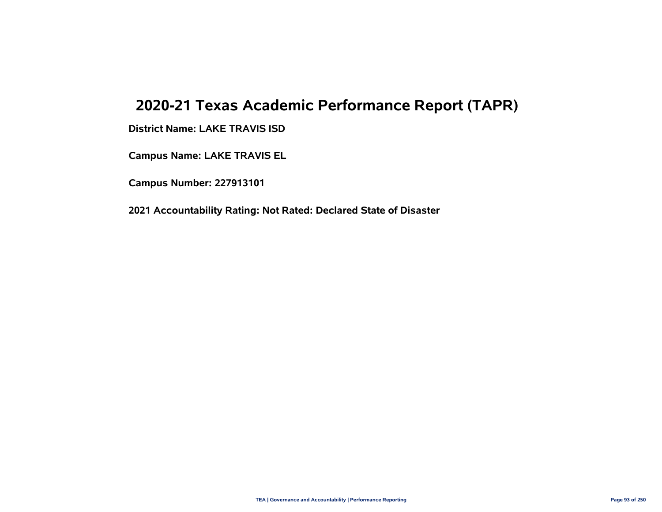# **2020-21 Texas Academic Performance Report (TAPR)**

**District Name: LAKE TRAVIS ISD**

**Campus Name: LAKE TRAVIS EL**

**Campus Number: 227913101**

**2021 Accountability Rating: Not Rated: Declared State of Disaster**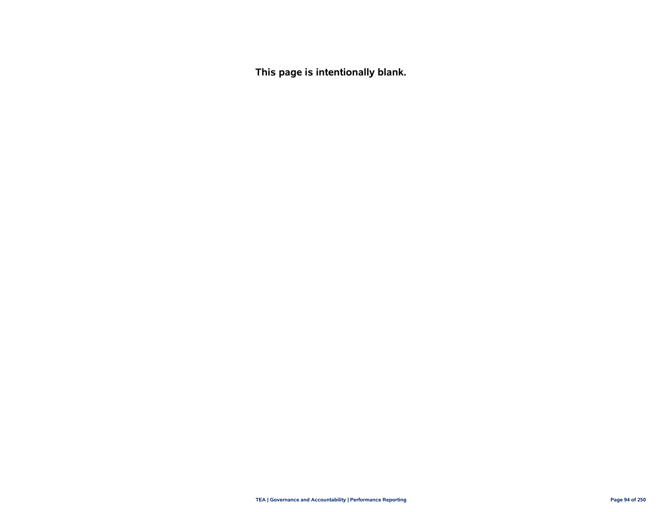**This page is intentionally blank.**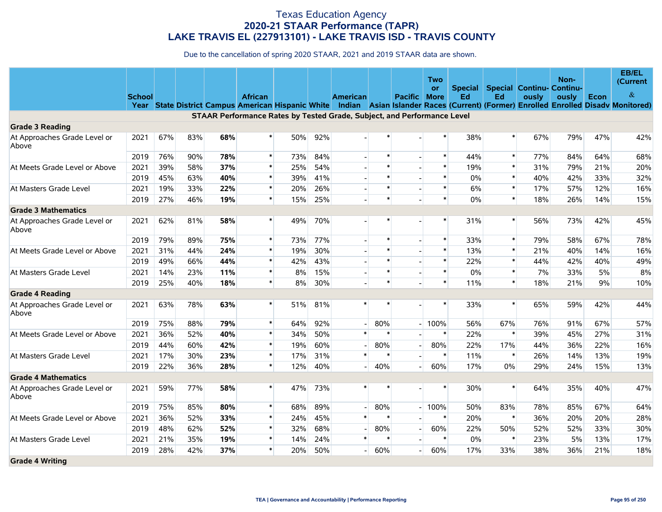|                                       |               |     |     |     |                |     |     |                                                                                |        |                          | Two          |                |        |                                  | Non-  |      | EB/EL<br>(Current                                                                                                                     |
|---------------------------------------|---------------|-----|-----|-----|----------------|-----|-----|--------------------------------------------------------------------------------|--------|--------------------------|--------------|----------------|--------|----------------------------------|-------|------|---------------------------------------------------------------------------------------------------------------------------------------|
|                                       |               |     |     |     |                |     |     |                                                                                |        |                          | <b>or</b>    | <b>Special</b> |        | <b>Special Continu- Continu-</b> |       |      | $\&$                                                                                                                                  |
|                                       | <b>School</b> |     |     |     | <b>African</b> |     |     | <b>American</b>                                                                |        | <b>Pacific</b>           | <b>More</b>  | Ed             | Ed     | ously                            | ously | Econ | Year State District Campus American Hispanic White Indian Asian Islander Races (Current) (Former) Enrolled Enrolled Disady Monitored) |
|                                       |               |     |     |     |                |     |     | <b>STAAR Performance Rates by Tested Grade, Subject, and Performance Level</b> |        |                          |              |                |        |                                  |       |      |                                                                                                                                       |
| <b>Grade 3 Reading</b>                |               |     |     |     |                |     |     |                                                                                |        |                          |              |                |        |                                  |       |      |                                                                                                                                       |
| At Approaches Grade Level or<br>Above | 2021          | 67% | 83% | 68% | $\ast$         | 50% | 92% |                                                                                |        |                          | $\ast$       | 38%            | $\ast$ | 67%                              | 79%   | 47%  | 42%                                                                                                                                   |
|                                       | 2019          | 76% | 90% | 78% | $\ast$         | 73% | 84% |                                                                                | $\ast$ |                          | $\ast$       | 44%            | $\ast$ | 77%                              | 84%   | 64%  | 68%                                                                                                                                   |
| At Meets Grade Level or Above         | 2021          | 39% | 58% | 37% | $\ast$         | 25% | 54% |                                                                                | $\ast$ |                          | $\pmb{\ast}$ | 19%            | $\ast$ | 31%                              | 79%   | 21%  | 20%                                                                                                                                   |
|                                       | 2019          | 45% | 63% | 40% | $\ast$         | 39% | 41% |                                                                                | $\ast$ |                          | $\pmb{\ast}$ | 0%             | $\ast$ | 40%                              | 42%   | 33%  | 32%                                                                                                                                   |
| At Masters Grade Level                | 2021          | 19% | 33% | 22% | $\pmb{\ast}$   | 20% | 26% |                                                                                | $\ast$ |                          | $\pmb{\ast}$ | 6%             | $\ast$ | 17%                              | 57%   | 12%  | 16%                                                                                                                                   |
|                                       | 2019          | 27% | 46% | 19% | $\pmb{\ast}$   | 15% | 25% |                                                                                | $\ast$ |                          | $\ast$       | 0%             | $\ast$ | 18%                              | 26%   | 14%  | 15%                                                                                                                                   |
| <b>Grade 3 Mathematics</b>            |               |     |     |     |                |     |     |                                                                                |        |                          |              |                |        |                                  |       |      |                                                                                                                                       |
| At Approaches Grade Level or<br>Above | 2021          | 62% | 81% | 58% | $\ast$         | 49% | 70% |                                                                                | $\ast$ |                          | $\ast$       | 31%            | $\ast$ | 56%                              | 73%   | 42%  | 45%                                                                                                                                   |
|                                       | 2019          | 79% | 89% | 75% | $\pmb{\ast}$   | 73% | 77% |                                                                                | $\ast$ |                          | $\ast$       | 33%            | $\ast$ | 79%                              | 58%   | 67%  | 78%                                                                                                                                   |
| At Meets Grade Level or Above         | 2021          | 31% | 44% | 24% | $\pmb{\ast}$   | 19% | 30% |                                                                                | $\ast$ |                          | $\ast$       | 13%            | $\ast$ | 21%                              | 40%   | 14%  | 16%                                                                                                                                   |
|                                       | 2019          | 49% | 66% | 44% | $\pmb{\ast}$   | 42% | 43% |                                                                                | $\ast$ |                          | $\ast$       | 22%            | $\ast$ | 44%                              | 42%   | 40%  | 49%                                                                                                                                   |
| At Masters Grade Level                | 2021          | 14% | 23% | 11% | $\pmb{\ast}$   | 8%  | 15% |                                                                                | $\ast$ |                          | $\ast$       | 0%             | $\ast$ | 7%                               | 33%   | 5%   | 8%                                                                                                                                    |
|                                       | 2019          | 25% | 40% | 18% | $\pmb{\ast}$   | 8%  | 30% |                                                                                | $\ast$ |                          | $\ast$       | 11%            | $\ast$ | 18%                              | 21%   | 9%   | 10%                                                                                                                                   |
| <b>Grade 4 Reading</b>                |               |     |     |     |                |     |     |                                                                                |        |                          |              |                |        |                                  |       |      |                                                                                                                                       |
| At Approaches Grade Level or<br>Above | 2021          | 63% | 78% | 63% | $\ast$         | 51% | 81% | $\ast$                                                                         |        |                          | $\ast$       | 33%            | $\ast$ | 65%                              | 59%   | 42%  | 44%                                                                                                                                   |
|                                       | 2019          | 75% | 88% | 79% | $\ast$         | 64% | 92% |                                                                                | 80%    |                          | 100%         | 56%            | 67%    | 76%                              | 91%   | 67%  | 57%                                                                                                                                   |
| At Meets Grade Level or Above         | 2021          | 36% | 52% | 40% | $\ast$         | 34% | 50% | $\ast$                                                                         |        |                          | $\ast$       | 22%            | $\ast$ | 39%                              | 45%   | 27%  | 31%                                                                                                                                   |
|                                       | 2019          | 44% | 60% | 42% | $\ast$         | 19% | 60% |                                                                                | 80%    | $\overline{\phantom{a}}$ | 80%          | 22%            | 17%    | 44%                              | 36%   | 22%  | 16%                                                                                                                                   |
| At Masters Grade Level                | 2021          | 17% | 30% | 23% | $\ast$         | 17% | 31% | $\ast$                                                                         |        | $\overline{\phantom{a}}$ | $\ast$       | 11%            | $\ast$ | 26%                              | 14%   | 13%  | 19%                                                                                                                                   |
|                                       | 2019          | 22% | 36% | 28% | $\pmb{\ast}$   | 12% | 40% | $\overline{\phantom{a}}$                                                       | 40%    | $\overline{\phantom{a}}$ | 60%          | 17%            | 0%     | 29%                              | 24%   | 15%  | 13%                                                                                                                                   |
| <b>Grade 4 Mathematics</b>            |               |     |     |     |                |     |     |                                                                                |        |                          |              |                |        |                                  |       |      |                                                                                                                                       |
| At Approaches Grade Level or<br>Above | 2021          | 59% | 77% | 58% | $\ast$         | 47% | 73% |                                                                                |        |                          | $\ast$       | 30%            | $\ast$ | 64%                              | 35%   | 40%  | 47%                                                                                                                                   |
|                                       | 2019          | 75% | 85% | 80% | $\pmb{\ast}$   | 68% | 89% |                                                                                | 80%    | ٠                        | 100%         | 50%            | 83%    | 78%                              | 85%   | 67%  | 64%                                                                                                                                   |
| At Meets Grade Level or Above         | 2021          | 36% | 52% | 33% | $\ast$         | 24% | 45% | $\ast$                                                                         | $\ast$ |                          | $\ast$       | 20%            | $\ast$ | 36%                              | 20%   | 20%  | 28%                                                                                                                                   |
|                                       | 2019          | 48% | 62% | 52% | $\ast$         | 32% | 68% |                                                                                | 80%    |                          | 60%          | 22%            | 50%    | 52%                              | 52%   | 33%  | 30%                                                                                                                                   |
| At Masters Grade Level                | 2021          | 21% | 35% | 19% | $\ast$         | 14% | 24% | $\ast$                                                                         | $\ast$ |                          | $\ast$       | 0%             | $\ast$ | 23%                              | 5%    | 13%  | 17%                                                                                                                                   |
|                                       | 2019          | 28% | 42% | 37% | $\pmb{\ast}$   | 20% | 50% |                                                                                | 60%    |                          | 60%          | 17%            | 33%    | 38%                              | 36%   | 21%  | 18%                                                                                                                                   |
| <b>Grade 4 Writing</b>                |               |     |     |     |                |     |     |                                                                                |        |                          |              |                |        |                                  |       |      |                                                                                                                                       |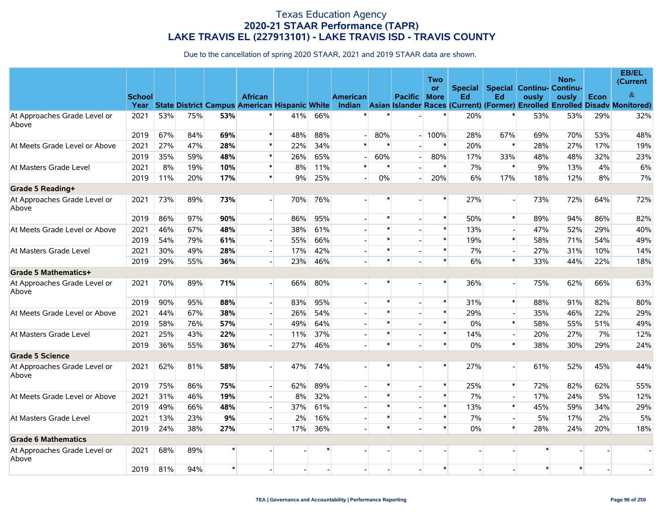|                                       |               |     |     |         |                                                    |     |     |                 |        |                          | <b>Two</b>        |           |                          |                                            | Non-   |      | EB/EL<br>(Current                                                                  |
|---------------------------------------|---------------|-----|-----|---------|----------------------------------------------------|-----|-----|-----------------|--------|--------------------------|-------------------|-----------|--------------------------|--------------------------------------------|--------|------|------------------------------------------------------------------------------------|
|                                       | <b>School</b> |     |     |         | <b>African</b>                                     |     |     | <b>American</b> |        | <b>Pacific</b>           | or<br><b>More</b> | <b>Ed</b> | Ed                       | Special Special Continu- Continu-<br>ously | ously  | Econ | $\&$                                                                               |
|                                       |               |     |     |         | Year State District Campus American Hispanic White |     |     |                 |        |                          |                   |           |                          |                                            |        |      | Indian Asian Islander Races (Current) (Former) Enrolled Enrolled Disady Monitored) |
| At Approaches Grade Level or          | 2021          | 53% | 75% | 53%     |                                                    | 41% | 66% |                 |        |                          |                   | 20%       |                          | 53%                                        | 53%    | 29%  | 32%                                                                                |
| Above                                 |               |     |     |         |                                                    |     |     |                 |        |                          |                   |           |                          |                                            |        |      |                                                                                    |
|                                       | 2019          | 67% | 84% | 69%     | $\ast$                                             | 48% | 88% |                 | 80%    |                          | 100%              | 28%       | 67%                      | 69%                                        | 70%    | 53%  | 48%                                                                                |
| At Meets Grade Level or Above         | 2021          | 27% | 47% | 28%     | $\pmb{\ast}$                                       | 22% | 34% | $\ast$          | $\ast$ |                          | $\ast$            | 20%       | $\ast$                   | 28%                                        | 27%    | 17%  | 19%                                                                                |
|                                       | 2019          | 35% | 59% | 48%     | $\pmb{\ast}$                                       | 26% | 65% |                 | 60%    | $\overline{\phantom{a}}$ | 80%               | 17%       | 33%                      | 48%                                        | 48%    | 32%  | 23%                                                                                |
| At Masters Grade Level                | 2021          | 8%  | 19% | 10%     | $\pmb{\ast}$                                       | 8%  | 11% | $\pmb{\ast}$    | $\ast$ | $\overline{\phantom{a}}$ | $\ast$            | 7%        | $\ast$                   | 9%                                         | 13%    | 4%   | 6%                                                                                 |
|                                       | 2019          | 11% | 20% | 17%     | $\ast$                                             | 9%  | 25% | $\overline{a}$  | 0%     | $\overline{\phantom{a}}$ | 20%               | 6%        | 17%                      | 18%                                        | 12%    | 8%   | 7%                                                                                 |
| Grade 5 Reading+                      |               |     |     |         |                                                    |     |     |                 |        |                          |                   |           |                          |                                            |        |      |                                                                                    |
| At Approaches Grade Level or<br>Above | 2021          | 73% | 89% | 73%     | $\overline{a}$                                     | 70% | 76% |                 |        |                          | $\ast$            | 27%       | $\overline{a}$           | 73%                                        | 72%    | 64%  | 72%                                                                                |
|                                       | 2019          | 86% | 97% | 90%     | $\sim$                                             | 86% | 95% |                 | $\ast$ |                          | $\ast$            | 50%       | $\pmb{\ast}$             | 89%                                        | 94%    | 86%  | 82%                                                                                |
| At Meets Grade Level or Above         | 2021          | 46% | 67% | 48%     |                                                    | 38% | 61% |                 | $\ast$ |                          | $\ast$            | 13%       | $\overline{a}$           | 47%                                        | 52%    | 29%  | 40%                                                                                |
|                                       | 2019          | 54% | 79% | 61%     |                                                    | 55% | 66% |                 | $\ast$ |                          | $\ast$            | 19%       | $\pmb{\ast}$             | 58%                                        | 71%    | 54%  | 49%                                                                                |
| At Masters Grade Level                | 2021          | 30% | 49% | 28%     |                                                    | 17% | 42% |                 | $\ast$ |                          | $\ast$            | 7%        | $\overline{a}$           | 27%                                        | 31%    | 10%  | 14%                                                                                |
|                                       | 2019          | 29% | 55% | 36%     |                                                    | 23% | 46% |                 | $\ast$ |                          | $\ast$            | 6%        | $\ast$                   | 33%                                        | 44%    | 22%  | 18%                                                                                |
| <b>Grade 5 Mathematics+</b>           |               |     |     |         |                                                    |     |     |                 |        |                          |                   |           |                          |                                            |        |      |                                                                                    |
| At Approaches Grade Level or<br>Above | 2021          | 70% | 89% | 71%     | $\overline{a}$                                     | 66% | 80% |                 | $\ast$ |                          | $\ast$            | 36%       | $\overline{\phantom{a}}$ | 75%                                        | 62%    | 66%  | 63%                                                                                |
|                                       | 2019          | 90% | 95% | 88%     | $\mathcal{L}_{\mathcal{A}}$                        | 83% | 95% |                 | $\ast$ |                          | $\ast$            | 31%       | $\ast$                   | 88%                                        | 91%    | 82%  | 80%                                                                                |
| At Meets Grade Level or Above         | 2021          | 44% | 67% | 38%     | $\overline{a}$                                     | 26% | 54% |                 | $\ast$ |                          | $\ast$            | 29%       | $\overline{\phantom{a}}$ | 35%                                        | 46%    | 22%  | 29%                                                                                |
|                                       | 2019          | 58% | 76% | 57%     | $\overline{\phantom{a}}$                           | 49% | 64% |                 | $\ast$ |                          | $\ast$            | 0%        | $\pmb{\ast}$             | 58%                                        | 55%    | 51%  | 49%                                                                                |
| At Masters Grade Level                | 2021          | 25% | 43% | 22%     | $\sim$                                             | 11% | 37% |                 | $\ast$ |                          | $\ast$            | 14%       | $\blacksquare$           | 20%                                        | 27%    | 7%   | 12%                                                                                |
|                                       | 2019          | 36% | 55% | 36%     |                                                    | 27% | 46% |                 | $\ast$ |                          | $\pmb{\ast}$      | $0\%$     | $\ast$                   | 38%                                        | 30%    | 29%  | 24%                                                                                |
| <b>Grade 5 Science</b>                |               |     |     |         |                                                    |     |     |                 |        |                          |                   |           |                          |                                            |        |      |                                                                                    |
| At Approaches Grade Level or<br>Above | 2021          | 62% | 81% | 58%     | $\overline{a}$                                     | 47% | 74% |                 |        |                          | $\ast$            | 27%       | $\overline{\phantom{a}}$ | 61%                                        | 52%    | 45%  | 44%                                                                                |
|                                       | 2019          | 75% | 86% | 75%     | $\sim$                                             | 62% | 89% |                 | *      | $\overline{\phantom{a}}$ | $\ast$            | 25%       | $\ast$                   | 72%                                        | 82%    | 62%  | 55%                                                                                |
| At Meets Grade Level or Above         | 2021          | 31% | 46% | 19%     | $\sim$                                             | 8%  | 32% |                 | $\ast$ |                          | $\ast$            | 7%        | $\overline{\phantom{a}}$ | 17%                                        | 24%    | 5%   | 12%                                                                                |
|                                       | 2019          | 49% | 66% | 48%     | $\mathcal{L}_{\mathcal{A}}$                        | 37% | 61% |                 | $\ast$ |                          | $\ast$            | 13%       | $\pmb{\ast}$             | 45%                                        | 59%    | 34%  | 29%                                                                                |
| At Masters Grade Level                | 2021          | 13% | 23% | 9%      |                                                    | 2%  | 16% |                 | $\ast$ |                          | $\ast$            | 7%        | $\overline{\phantom{a}}$ | 5%                                         | 17%    | 2%   | 5%                                                                                 |
|                                       | 2019          | 24% | 38% | 27%     |                                                    | 17% | 36% |                 | $\ast$ |                          | $\ast$            | $0\%$     | $\ast$                   | 28%                                        | 24%    | 20%  | 18%                                                                                |
| <b>Grade 6 Mathematics</b>            |               |     |     |         |                                                    |     |     |                 |        |                          |                   |           |                          |                                            |        |      |                                                                                    |
| At Approaches Grade Level or<br>Above | 2021          | 68% | 89% | $\star$ |                                                    |     |     |                 |        |                          |                   |           |                          | $\ast$                                     |        |      |                                                                                    |
|                                       | 2019          | 81% | 94% | $\star$ |                                                    |     |     |                 |        |                          | $\ast$            |           |                          | $\ast$                                     | $\ast$ |      |                                                                                    |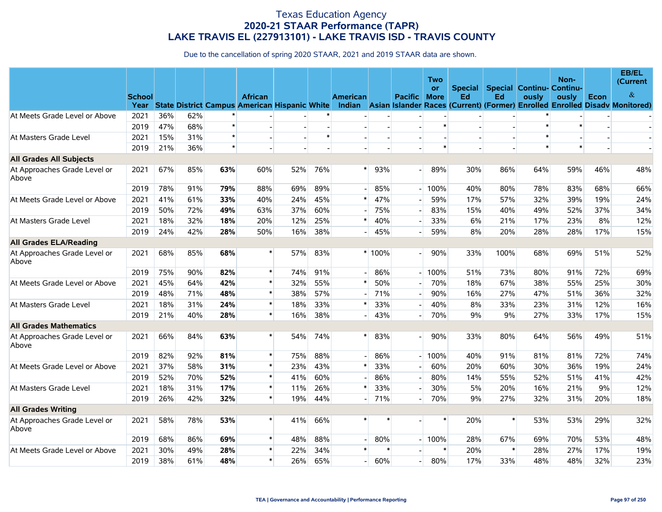|                                       |                       |     |     |         |                                                                        |     |        |                 |        |                | Two         |     |                          |                                          | Non-   |                | <b>EB/EL</b><br>(Current                                                                   |
|---------------------------------------|-----------------------|-----|-----|---------|------------------------------------------------------------------------|-----|--------|-----------------|--------|----------------|-------------|-----|--------------------------|------------------------------------------|--------|----------------|--------------------------------------------------------------------------------------------|
|                                       |                       |     |     |         |                                                                        |     |        |                 |        |                | <b>or</b>   |     |                          | <b>Special Special Continu- Continu-</b> |        |                |                                                                                            |
|                                       | <b>School</b><br>Year |     |     |         | <b>African</b><br><b>State District Campus American Hispanic White</b> |     |        | <b>American</b> |        | <b>Pacific</b> | <b>More</b> | Ed  | Ed                       | ously                                    | ously  | Econ           | $\&$<br>Indian Asian Islander Races (Current) (Former) Enrolled Enrolled Disady Monitored) |
| At Meets Grade Level or Above         | 2021                  | 36% | 62% |         |                                                                        |     |        |                 |        |                |             |     |                          |                                          |        |                |                                                                                            |
|                                       | 2019                  | 47% | 68% | $\star$ |                                                                        |     |        |                 |        |                | $\ast$      |     |                          | $\ast$                                   | $\ast$ | $\overline{a}$ |                                                                                            |
| At Masters Grade Level                | 2021                  | 15% | 31% | $\star$ |                                                                        |     | $\ast$ |                 |        |                |             |     | $\overline{\phantom{a}}$ | $\ast$                                   |        | $\blacksquare$ |                                                                                            |
|                                       | 2019                  | 21% | 36% | $\star$ |                                                                        |     |        |                 |        |                | $\ast$      |     |                          | $\ast$                                   | $\ast$ |                |                                                                                            |
| <b>All Grades All Subjects</b>        |                       |     |     |         |                                                                        |     |        |                 |        |                |             |     |                          |                                          |        |                |                                                                                            |
| At Approaches Grade Level or<br>Above | 2021                  | 67% | 85% | 63%     | 60%                                                                    | 52% | 76%    | $\ast$          | 93%    |                | 89%         | 30% | 86%                      | 64%                                      | 59%    | 46%            | 48%                                                                                        |
|                                       | 2019                  | 78% | 91% | 79%     | 88%                                                                    | 69% | 89%    |                 | 85%    |                | 100%        | 40% | 80%                      | 78%                                      | 83%    | 68%            | 66%                                                                                        |
| At Meets Grade Level or Above         | 2021                  | 41% | 61% | 33%     | 40%                                                                    | 24% | 45%    | $\ast$          | 47%    |                | 59%         | 17% | 57%                      | 32%                                      | 39%    | 19%            | 24%                                                                                        |
|                                       | 2019                  | 50% | 72% | 49%     | 63%                                                                    | 37% | 60%    |                 | 75%    |                | 83%         | 15% | 40%                      | 49%                                      | 52%    | 37%            | 34%                                                                                        |
| At Masters Grade Level                | 2021                  | 18% | 32% | 18%     | 20%                                                                    | 12% | 25%    |                 | 40%    |                | 33%         | 6%  | 21%                      | 17%                                      | 23%    | 8%             | 12%                                                                                        |
|                                       | 2019                  | 24% | 42% | 28%     | 50%                                                                    | 16% | 38%    |                 | 45%    |                | 59%         | 8%  | 20%                      | 28%                                      | 28%    | 17%            | 15%                                                                                        |
| <b>All Grades ELA/Reading</b>         |                       |     |     |         |                                                                        |     |        |                 |        |                |             |     |                          |                                          |        |                |                                                                                            |
| At Approaches Grade Level or<br>Above | 2021                  | 68% | 85% | 68%     | $\ast$                                                                 | 57% | 83%    |                 | * 100% |                | 90%         | 33% | 100%                     | 68%                                      | 69%    | 51%            | 52%                                                                                        |
|                                       | 2019                  | 75% | 90% | 82%     | $\ast$                                                                 | 74% | 91%    |                 | 86%    |                | 100%        | 51% | 73%                      | 80%                                      | 91%    | 72%            | 69%                                                                                        |
| At Meets Grade Level or Above         | 2021                  | 45% | 64% | 42%     | $\ast$                                                                 | 32% | 55%    | $\ast$          | 50%    |                | 70%         | 18% | 67%                      | 38%                                      | 55%    | 25%            | 30%                                                                                        |
|                                       | 2019                  | 48% | 71% | 48%     | $\ast$                                                                 | 38% | 57%    |                 | 71%    |                | 90%         | 16% | 27%                      | 47%                                      | 51%    | 36%            | 32%                                                                                        |
| At Masters Grade Level                | 2021                  | 18% | 31% | 24%     | $\ast$                                                                 | 18% | 33%    | $\ast$          | 33%    |                | 40%         | 8%  | 33%                      | 23%                                      | 31%    | 12%            | 16%                                                                                        |
|                                       | 2019                  | 21% | 40% | 28%     | $\ast$                                                                 | 16% | 38%    |                 | 43%    |                | 70%         | 9%  | 9%                       | 27%                                      | 33%    | 17%            | 15%                                                                                        |
| <b>All Grades Mathematics</b>         |                       |     |     |         |                                                                        |     |        |                 |        |                |             |     |                          |                                          |        |                |                                                                                            |
| At Approaches Grade Level or<br>Above | 2021                  | 66% | 84% | 63%     | $\ast$                                                                 | 54% | 74%    | $\ast$          | 83%    |                | 90%         | 33% | 80%                      | 64%                                      | 56%    | 49%            | 51%                                                                                        |
|                                       | 2019                  | 82% | 92% | 81%     | $\ast$                                                                 | 75% | 88%    |                 | 86%    |                | 100%        | 40% | 91%                      | 81%                                      | 81%    | 72%            | 74%                                                                                        |
| At Meets Grade Level or Above         | 2021                  | 37% | 58% | 31%     | $\ast$                                                                 | 23% | 43%    |                 | 33%    |                | 60%         | 20% | 60%                      | 30%                                      | 36%    | 19%            | 24%                                                                                        |
|                                       | 2019                  | 52% | 70% | 52%     | $\ast$                                                                 | 41% | 60%    |                 | 86%    |                | 80%         | 14% | 55%                      | 52%                                      | 51%    | 41%            | 42%                                                                                        |
| At Masters Grade Level                | 2021                  | 18% | 31% | 17%     | $\ast$                                                                 | 11% | 26%    |                 | 33%    |                | 30%         | 5%  | 20%                      | 16%                                      | 21%    | 9%             | 12%                                                                                        |
|                                       | 2019                  | 26% | 42% | 32%     | $\ast$                                                                 | 19% | 44%    |                 | 71%    |                | 70%         | 9%  | 27%                      | 32%                                      | 31%    | 20%            | 18%                                                                                        |
| <b>All Grades Writing</b>             |                       |     |     |         |                                                                        |     |        |                 |        |                |             |     |                          |                                          |        |                |                                                                                            |
| At Approaches Grade Level or<br>Above | 2021                  | 58% | 78% | 53%     | $\ast$                                                                 | 41% | 66%    |                 |        |                |             | 20% | $\ast$                   | 53%                                      | 53%    | 29%            | 32%                                                                                        |
|                                       | 2019                  | 68% | 86% | 69%     | $\ast$                                                                 | 48% | 88%    |                 | 80%    |                | 100%        | 28% | 67%                      | 69%                                      | 70%    | 53%            | 48%                                                                                        |
| At Meets Grade Level or Above         | 2021                  | 30% | 49% | 28%     | $\ast$                                                                 | 22% | 34%    | $\star$         | $\ast$ |                | $\ast$      | 20% | $\ast$                   | 28%                                      | 27%    | 17%            | 19%                                                                                        |
|                                       | 2019                  | 38% | 61% | 48%     | $\ast$                                                                 | 26% | 65%    |                 | 60%    |                | 80%         | 17% | 33%                      | 48%                                      | 48%    | 32%            | 23%                                                                                        |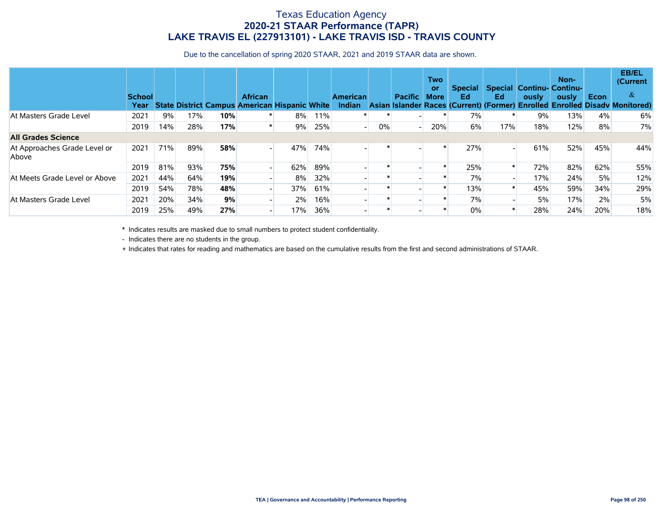Due to the cancellation of spring 2020 STAAR, 2021 and 2019 STAAR data are shown.

|                                       | School<br>Year |     |     |     | <b>African</b><br><b>State District Campus American Hispanic White</b> |     |     | <b>American</b><br>Indian |       | <b>Pacific</b> | <b>Two</b><br>or<br><b>More</b> | <b>Special</b><br>Ed | Ed                       | ously | Non-<br><b>Special Continu- Continu-</b><br>ously | Econ | <b>EB/EL</b><br>(Current<br>$\&$<br>Asian Islander Races (Current) (Former) Enrolled Enrolled Disady Monitored) |
|---------------------------------------|----------------|-----|-----|-----|------------------------------------------------------------------------|-----|-----|---------------------------|-------|----------------|---------------------------------|----------------------|--------------------------|-------|---------------------------------------------------|------|-----------------------------------------------------------------------------------------------------------------|
| At Masters Grade Level                | 2021           | 9%  | 17% | 10% |                                                                        | 8%  | 11% |                           |       |                |                                 | 7%                   |                          | 9%    | 13%                                               | 4%   | 6%                                                                                                              |
|                                       | 2019           | 14% | 28% | 17% |                                                                        | 9%  | 25% | $\overline{\phantom{0}}$  | $0\%$ |                | 20%                             | 6%                   | 17%                      | 18%   | 12%                                               | 8%   | 7%                                                                                                              |
| <b>All Grades Science</b>             |                |     |     |     |                                                                        |     |     |                           |       |                |                                 |                      |                          |       |                                                   |      |                                                                                                                 |
| At Approaches Grade Level or<br>Above | 2021           | 71% | 89% | 58% | $\overline{\phantom{0}}$                                               | 47% | 74% |                           |       |                | $\ast$                          | 27%                  | $\overline{\phantom{0}}$ | 61%   | 52%                                               | 45%  | 44%                                                                                                             |
|                                       | 2019           | 81% | 93% | 75% |                                                                        | 62% | 89% |                           |       |                |                                 | 25%                  |                          | 72%   | 82%                                               | 62%  | 55%                                                                                                             |
| At Meets Grade Level or Above         | 2021           | 44% | 64% | 19% |                                                                        | 8%  | 32% |                           |       |                |                                 | 7%                   |                          | 17%   | 24%                                               | 5%   | 12%                                                                                                             |
|                                       | 2019           | 54% | 78% | 48% |                                                                        | 37% | 61% |                           |       |                |                                 | 13%                  |                          | 45%   | 59%                                               | 34%  | 29%                                                                                                             |
| At Masters Grade Level                | 2021           | 20% | 34% | 9%  |                                                                        | 2%  | 16% |                           |       |                |                                 | 7%                   |                          | 5%    | 17%                                               | 2%   | 5%                                                                                                              |
|                                       | 2019           | 25% | 49% | 27% |                                                                        | 17% | 36% |                           |       |                |                                 | $0\%$                |                          | 28%   | 24%                                               | 20%  | 18%                                                                                                             |

\* Indicates results are masked due to small numbers to protect student confidentiality.

- Indicates there are no students in the group.

+ Indicates that rates for reading and mathematics are based on the cumulative results from the first and second administrations of STAAR.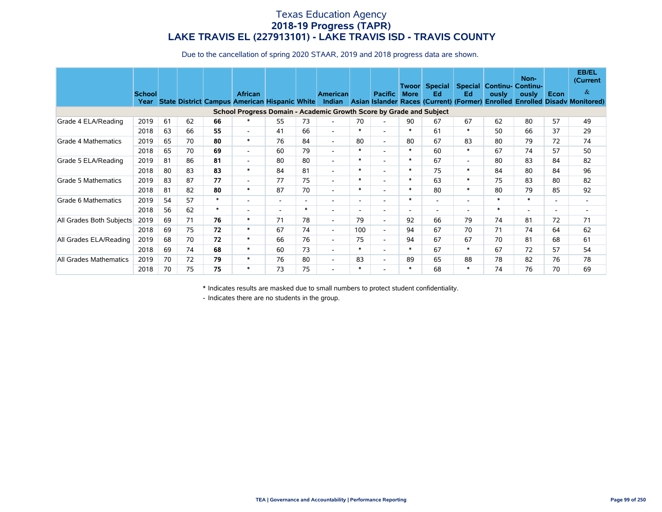Due to the cancellation of spring 2020 STAAR, 2019 and 2018 progress data are shown.

|                            | <b>School</b><br>Year |    |    |         | <b>African</b><br>State District Campus American Hispanic White     |                          |                          | <b>American</b>          |                          | <b>Pacific</b>           | <b>Twoor</b><br><b>More</b> | Special<br>Ed            | Ed.                      | <b>Special Continu- Continu-</b><br>ously | Non-<br>ously            | Econ                     | <b>EB/EL</b><br>(Current<br>$\&$<br>Indian Asian Islander Races (Current) (Former) Enrolled Enrolled Disady Monitored) |
|----------------------------|-----------------------|----|----|---------|---------------------------------------------------------------------|--------------------------|--------------------------|--------------------------|--------------------------|--------------------------|-----------------------------|--------------------------|--------------------------|-------------------------------------------|--------------------------|--------------------------|------------------------------------------------------------------------------------------------------------------------|
|                            |                       |    |    |         | School Progress Domain - Academic Growth Score by Grade and Subject |                          |                          |                          |                          |                          |                             |                          |                          |                                           |                          |                          |                                                                                                                        |
| Grade 4 ELA/Reading        | 2019                  | 61 | 62 | 66      | ∗                                                                   | 55                       | 73                       | $\overline{\phantom{a}}$ | 70                       |                          | 90                          | 67                       | 67                       | 62                                        | 80                       | 57                       | 49                                                                                                                     |
|                            | 2018                  | 63 | 66 | 55      | $\overline{\phantom{a}}$                                            | 41                       | 66                       | $\overline{\phantom{a}}$ | $\ast$                   | $\overline{\phantom{a}}$ | $\ast$                      | 61                       | $\ast$                   | 50                                        | 66                       | 37                       | 29                                                                                                                     |
| Grade 4 Mathematics        | 2019                  | 65 | 70 | 80      | $\ast$                                                              | 76                       | 84                       | $\overline{\phantom{a}}$ | 80                       | $\overline{\phantom{a}}$ | 80                          | 67                       | 83                       | 80                                        | 79                       | 72                       | 74                                                                                                                     |
|                            | 2018                  | 65 | 70 | 69      | $\overline{\phantom{a}}$                                            | 60                       | 79                       | $\overline{\phantom{a}}$ | $\ast$                   | $\overline{\phantom{a}}$ | $\ast$                      | 60                       | $\ast$                   | 67                                        | 74                       | 57                       | 50                                                                                                                     |
| Grade 5 ELA/Reading        | 2019                  | 81 | 86 | 81      | $\overline{\phantom{0}}$                                            | 80                       | 80                       | $\overline{\phantom{a}}$ | $\ast$                   | $\overline{\phantom{a}}$ | $\ast$                      | 67                       | $\overline{\phantom{a}}$ | 80                                        | 83                       | 84                       | 82                                                                                                                     |
|                            | 2018                  | 80 | 83 | 83      | $\ast$                                                              | 84                       | 81                       | $\overline{\phantom{a}}$ | $\ast$                   | $\overline{\phantom{a}}$ | $\ast$                      | 75                       | $\ast$                   | 84                                        | 80                       | 84                       | 96                                                                                                                     |
| <b>Grade 5 Mathematics</b> | 2019                  | 83 | 87 | 77      | $\overline{\phantom{0}}$                                            | 77                       | 75                       | $\overline{\phantom{a}}$ | $\ast$                   | $\overline{a}$           | $\ast$                      | 63                       | $\ast$                   | 75                                        | 83                       | 80                       | 82                                                                                                                     |
|                            | 2018                  | 81 | 82 | 80      | $\ast$                                                              | 87                       | 70                       | $\overline{\phantom{a}}$ | $\ast$                   | $\overline{\phantom{a}}$ | $\ast$                      | 80                       | $\ast$                   | 80                                        | 79                       | 85                       | 92                                                                                                                     |
| Grade 6 Mathematics        | 2019                  | 54 | 57 | $\star$ | $\overline{\phantom{0}}$                                            | $\overline{\phantom{a}}$ | $\overline{\phantom{0}}$ | $\overline{a}$           | $\overline{\phantom{0}}$ | $\overline{\phantom{a}}$ | $\ast$                      | $\overline{\phantom{a}}$ | $\overline{\phantom{a}}$ | $\ast$                                    | $\ast$                   | $\overline{\phantom{0}}$ | $\qquad \qquad -$                                                                                                      |
|                            | 2018                  | 56 | 62 | $\star$ | $\overline{\phantom{0}}$                                            | $\overline{\phantom{a}}$ | $*$                      | $\overline{\phantom{a}}$ | $\overline{\phantom{a}}$ | $\overline{\phantom{a}}$ | $\overline{\phantom{a}}$    | $\overline{\phantom{a}}$ | $\overline{\phantom{a}}$ | $\ast$                                    | $\overline{\phantom{0}}$ | $\overline{\phantom{0}}$ | $\overline{\phantom{0}}$                                                                                               |
| All Grades Both Subjects   | 2019                  | 69 | 71 | 76      | $\ast$                                                              | 71                       | 78                       | $\overline{\phantom{a}}$ | 79                       | $\overline{\phantom{a}}$ | 92                          | 66                       | 79                       | 74                                        | 81                       | 72                       | 71                                                                                                                     |
|                            | 2018                  | 69 | 75 | 72      | $\ast$                                                              | 67                       | 74                       | $\overline{\phantom{a}}$ | 100                      | $\overline{\phantom{a}}$ | 94                          | 67                       | 70                       | 71                                        | 74                       | 64                       | 62                                                                                                                     |
| All Grades ELA/Reading     | 2019                  | 68 | 70 | 72      | $\ast$                                                              | 66                       | 76                       | $\overline{\phantom{a}}$ | 75                       | $\overline{\phantom{a}}$ | 94                          | 67                       | 67                       | 70                                        | 81                       | 68                       | 61                                                                                                                     |
|                            | 2018                  | 69 | 74 | 68      | $\ast$                                                              | 60                       | 73                       | $\overline{\phantom{a}}$ | $\ast$                   | $\overline{\phantom{a}}$ | $\ast$                      | 67                       | $\ast$                   | 67                                        | 72                       | 57                       | 54                                                                                                                     |
| All Grades Mathematics     | 2019                  | 70 | 72 | 79      | $\ast$                                                              | 76                       | 80                       | $\overline{\phantom{a}}$ | 83                       | $\overline{\phantom{a}}$ | 89                          | 65                       | 88                       | 78                                        | 82                       | 76                       | 78                                                                                                                     |
|                            | 2018                  | 70 | 75 | 75      | $\ast$                                                              | 73                       | 75                       | $\overline{\phantom{a}}$ | $*$                      | $\overline{\phantom{a}}$ | $\ast$                      | 68                       | $\ast$                   | 74                                        | 76                       | 70                       | 69                                                                                                                     |

\* Indicates results are masked due to small numbers to protect student confidentiality.

- Indicates there are no students in the group.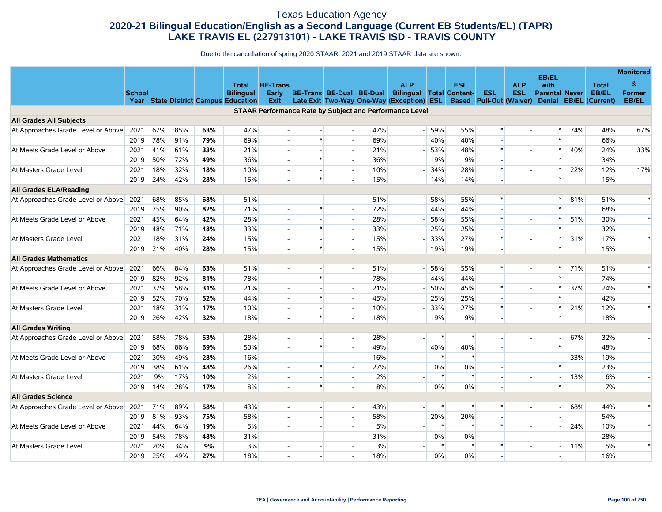# Texas Education Agency **2020-21 Bilingual Education/English as a Second Language (Current EB Students/EL) (TAPR) LAKE TRAVIS EL (227913101) - LAKE TRAVIS ISD - TRAVIS COUNTY**

|                                    |               |     |     |     |                                             |                          |        |                                 |                                                                |         |                                |            |            |                       |     |                        | <b>Monitored</b> |
|------------------------------------|---------------|-----|-----|-----|---------------------------------------------|--------------------------|--------|---------------------------------|----------------------------------------------------------------|---------|--------------------------------|------------|------------|-----------------------|-----|------------------------|------------------|
|                                    |               |     |     |     | Total                                       | <b>BE-Trans</b>          |        |                                 | <b>ALP</b>                                                     |         | <b>ESL</b>                     |            | <b>ALP</b> | EB/EL<br>with         |     | <b>Total</b>           | $\&$             |
|                                    | <b>School</b> |     |     |     | <b>Bilingual</b>                            | <b>Early</b>             |        | <b>BE-Trans BE-Dual BE-Dual</b> | <b>Bilingual Total Content-</b>                                |         |                                | <b>ESL</b> | <b>ESL</b> | <b>Parental Never</b> |     | EB/EL                  | <b>Former</b>    |
|                                    |               |     |     |     | <b>Year State District Campus Education</b> | Exit                     |        |                                 | Late Exit Two-Way One-Way (Exception) ESL                      |         | <b>Based</b> Pull-Out (Waiver) |            |            | <b>Denial</b>         |     | <b>EB/EL (Current)</b> | <b>EB/EL</b>     |
|                                    |               |     |     |     |                                             |                          |        |                                 | <b>STAAR Performance Rate by Subject and Performance Level</b> |         |                                |            |            |                       |     |                        |                  |
| <b>All Grades All Subjects</b>     |               |     |     |     |                                             |                          |        |                                 |                                                                |         |                                |            |            |                       |     |                        |                  |
| At Approaches Grade Level or Above | 2021          | 67% | 85% | 63% | 47%                                         | $\overline{\phantom{a}}$ |        | 47%                             |                                                                | $-159%$ | 55%                            |            |            |                       | 74% | 48%                    | 67%              |
|                                    | 2019          | 78% | 91% | 79% | 69%                                         |                          |        | 69%                             |                                                                | 40%     | 40%                            |            |            |                       |     | 66%                    |                  |
| At Meets Grade Level or Above      | 2021          | 41% | 61% | 33% | 21%                                         | ш.                       |        | 21%                             |                                                                | $-153%$ | 48%                            | $\ast$     |            | $\ast$                | 40% | 24%                    | 33%              |
|                                    | 2019          | 50% | 72% | 49% | 36%                                         | $\overline{a}$           |        | 36%                             |                                                                | 19%     | 19%                            |            |            |                       |     | 34%                    |                  |
| At Masters Grade Level             | 2021          | 18% | 32% | 18% | 10%                                         |                          |        | 10%                             |                                                                | $-134%$ | 28%                            | $\ast$     |            |                       | 22% | 12%                    | 17%              |
|                                    | 2019          | 24% | 42% | 28% | 15%                                         |                          | $\ast$ | 15%                             |                                                                | 14%     | 14%                            |            |            | $\ast$                |     | 15%                    |                  |
| <b>All Grades ELA/Reading</b>      |               |     |     |     |                                             |                          |        |                                 |                                                                |         |                                |            |            |                       |     |                        |                  |
| At Approaches Grade Level or Above | 2021          | 68% | 85% | 68% | 51%                                         | $\overline{a}$           |        | 51%                             |                                                                | $-58%$  | 55%                            |            |            |                       | 81% | 51%                    | $\ast$           |
|                                    | 2019          | 75% | 90% | 82% | 71%                                         |                          | $\ast$ | 72%                             |                                                                | 44%     | 44%                            |            |            |                       |     | 68%                    |                  |
| At Meets Grade Level or Above      | 2021          | 45% | 64% | 42% | 28%                                         | $\overline{a}$           |        | 28%                             |                                                                | 58%     | 55%                            | $\ast$     |            |                       | 51% | 30%                    | $\ast$           |
|                                    | 2019          | 48% | 71% | 48% | 33%                                         | $\overline{a}$           |        | 33%                             |                                                                | 25%     | 25%                            |            |            |                       |     | 32%                    |                  |
| At Masters Grade Level             | 2021          | 18% | 31% | 24% | 15%                                         |                          |        | 15%                             |                                                                | $-33%$  | 27%                            | $\ast$     |            |                       | 31% | 17%                    | $\ast$           |
|                                    | 2019          | 21% | 40% | 28% | 15%                                         |                          | $\ast$ | 15%                             |                                                                | 19%     | 19%                            |            |            |                       |     | 15%                    |                  |
| <b>All Grades Mathematics</b>      |               |     |     |     |                                             |                          |        |                                 |                                                                |         |                                |            |            |                       |     |                        |                  |
| At Approaches Grade Level or Above | 2021          | 66% | 84% | 63% | 51%                                         | $\overline{a}$           |        | 51%                             |                                                                | $-58%$  | 55%                            |            |            |                       | 71% | 51%                    | $\ast$           |
|                                    | 2019          | 82% | 92% | 81% | 78%                                         |                          | $\ast$ | 78%                             |                                                                | 44%     | 44%                            |            |            | $\ast$                |     | 74%                    |                  |
| At Meets Grade Level or Above      | 2021          | 37% | 58% | 31% | 21%                                         | $\overline{\phantom{a}}$ |        | 21%                             |                                                                | 50%     | 45%                            | $\ast$     |            |                       | 37% | 24%                    | $\ast$           |
|                                    | 2019          | 52% | 70% | 52% | 44%                                         | $\sim$                   | $\ast$ | 45%                             |                                                                | 25%     | 25%                            |            |            | $\ast$                |     | 42%                    |                  |
| At Masters Grade Level             | 2021          | 18% | 31% | 17% | 10%                                         | $\overline{\phantom{a}}$ |        | 10%                             |                                                                | $-33%$  | 27%                            | $\ast$     |            |                       | 21% | 12%                    | $\ast$           |
|                                    | 2019          | 26% | 42% | 32% | 18%                                         |                          | $\ast$ | 18%                             |                                                                | 19%     | 19%                            |            |            |                       |     | 18%                    |                  |
| <b>All Grades Writing</b>          |               |     |     |     |                                             |                          |        |                                 |                                                                |         |                                |            |            |                       |     |                        |                  |
| At Approaches Grade Level or Above | 2021          | 58% | 78% | 53% | 28%                                         | $\overline{a}$           |        | 28%                             | $\overline{a}$                                                 | $\ast$  | $\ast$                         |            |            |                       | 67% | 32%                    |                  |
|                                    | 2019          | 68% | 86% | 69% | 50%                                         | $\overline{\phantom{a}}$ | $\ast$ | 49%                             |                                                                | 40%     | 40%                            |            |            |                       |     | 48%                    |                  |
| At Meets Grade Level or Above      | 2021          | 30% | 49% | 28% | 16%                                         | $\overline{\phantom{a}}$ |        | 16%                             |                                                                |         |                                |            |            |                       | 33% | 19%                    |                  |
|                                    | 2019          | 38% | 61% | 48% | 26%                                         | $\overline{a}$           | $\ast$ | 27%                             |                                                                | 0%      | 0%                             |            |            | $\ast$                |     | 23%                    |                  |
| At Masters Grade Level             | 2021          | 9%  | 17% | 10% | 2%                                          | $\overline{a}$           |        | 2%                              |                                                                |         |                                |            |            |                       | 13% | 6%                     |                  |
|                                    | 2019          | 14% | 28% | 17% | 8%                                          |                          | $\ast$ | 8%                              |                                                                | 0%      | 0%                             |            |            |                       |     | 7%                     |                  |
| <b>All Grades Science</b>          |               |     |     |     |                                             |                          |        |                                 |                                                                |         |                                |            |            |                       |     |                        |                  |
| At Approaches Grade Level or Above | 2021          | 71% | 89% | 58% | 43%                                         | $\overline{a}$           |        | 43%                             | $\overline{a}$                                                 | $\ast$  | $\ast$                         | $\ast$     |            |                       | 68% | 44%                    | ∗                |
|                                    | 2019          | 81% | 93% | 75% | 58%                                         | $\overline{\phantom{a}}$ |        | 58%                             |                                                                | 20%     | 20%                            |            |            |                       |     | 54%                    |                  |
| At Meets Grade Level or Above      | 2021          | 44% | 64% | 19% | 5%                                          | $\sim$                   |        | 5%                              |                                                                |         | $\ast$                         | $\ast$     |            |                       | 24% | 10%                    | $\ast$           |
|                                    | 2019          | 54% | 78% | 48% | 31%                                         |                          |        | 31%                             |                                                                | 0%      | 0%                             |            |            |                       |     | 28%                    |                  |
| At Masters Grade Level             | 2021          | 20% | 34% | 9%  | 3%                                          | $\sim$                   |        | 3%                              |                                                                |         | $\ast$                         | $\ast$     |            |                       | 11% | 5%                     | $\ast$           |
|                                    | 2019          | 25% | 49% | 27% | 18%                                         |                          |        | 18%                             |                                                                | 0%      | 0%                             |            |            |                       |     | 16%                    |                  |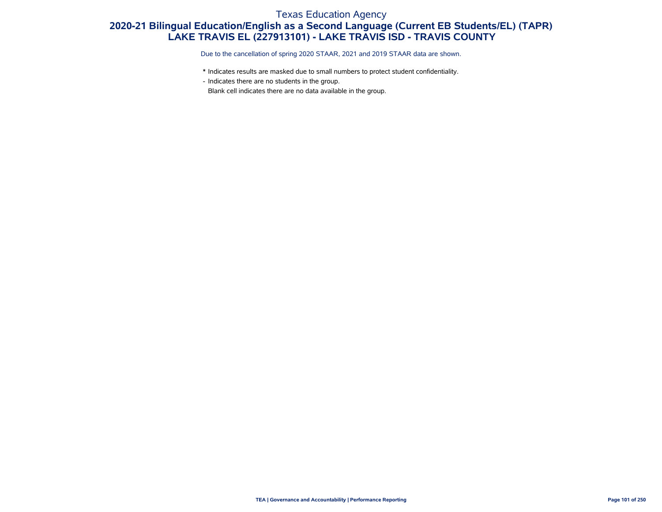#### Texas Education Agency

# **2020-21 Bilingual Education/English as a Second Language (Current EB Students/EL) (TAPR) LAKE TRAVIS EL (227913101) - LAKE TRAVIS ISD - TRAVIS COUNTY**

Due to the cancellation of spring 2020 STAAR, 2021 and 2019 STAAR data are shown.

- \* Indicates results are masked due to small numbers to protect student confidentiality.
- Indicates there are no students in the group.

Blank cell indicates there are no data available in the group.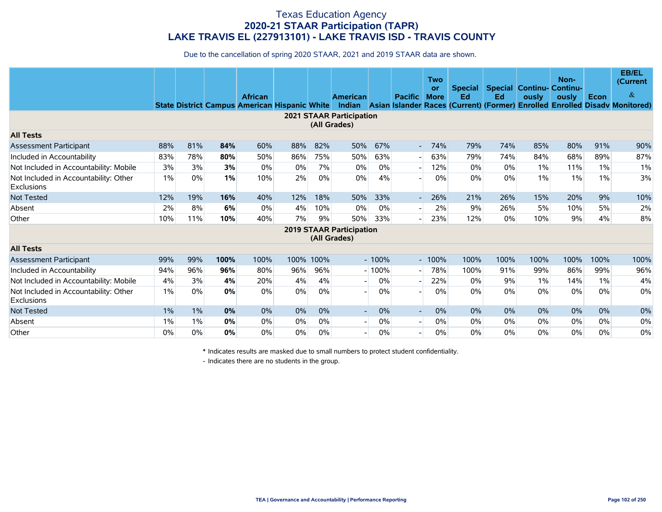Due to the cancellation of spring 2020 STAAR, 2021 and 2019 STAAR data are shown.

|                                                            |       |     |      | <b>African</b><br><b>State District Campus American Hispanic White</b> |     |           | American                                        |         | <b>Pacific</b>           | <b>Two</b><br>or<br><b>More</b> | <b>Special</b><br>Ed | Ed    | <b>Special Continu- Continu-</b><br>ously | Non-<br>ously | Econ  | <b>EB/EL</b><br>(Current<br>&<br>Indian Asian Islander Races (Current) (Former) Enrolled Enrolled Disady Monitored) |
|------------------------------------------------------------|-------|-----|------|------------------------------------------------------------------------|-----|-----------|-------------------------------------------------|---------|--------------------------|---------------------------------|----------------------|-------|-------------------------------------------|---------------|-------|---------------------------------------------------------------------------------------------------------------------|
|                                                            |       |     |      |                                                                        |     |           | <b>2021 STAAR Participation</b><br>(All Grades) |         |                          |                                 |                      |       |                                           |               |       |                                                                                                                     |
| <b>All Tests</b>                                           |       |     |      |                                                                        |     |           |                                                 |         |                          |                                 |                      |       |                                           |               |       |                                                                                                                     |
| <b>Assessment Participant</b>                              | 88%   | 81% | 84%  | 60%                                                                    | 88% | 82%       | 50%                                             | 67%     | $\overline{\phantom{a}}$ | 74%                             | 79%                  | 74%   | 85%                                       | 80%           | 91%   | 90%                                                                                                                 |
| Included in Accountability                                 | 83%   | 78% | 80%  | 50%                                                                    | 86% | 75%       | 50%                                             | 63%     |                          | 63%                             | 79%                  | 74%   | 84%                                       | 68%           | 89%   | 87%                                                                                                                 |
| Not Included in Accountability: Mobile                     | 3%    | 3%  | 3%   | 0%                                                                     | 0%  | 7%        | 0%                                              | $0\%$   |                          | 12%                             | 0%                   | $0\%$ | $1\%$                                     | 11%           | $1\%$ | 1%                                                                                                                  |
| Not Included in Accountability: Other<br><b>Exclusions</b> | $1\%$ | 0%  | 1%   | 10%                                                                    | 2%  | 0%        | 0%                                              | 4%      |                          | 0%                              | 0%                   | 0%    | $1\%$                                     | 1%            | $1\%$ | 3%                                                                                                                  |
| <b>Not Tested</b>                                          | 12%   | 19% | 16%  | 40%                                                                    | 12% | 18%       | 50%                                             | 33%     | $\overline{\phantom{a}}$ | 26%                             | 21%                  | 26%   | 15%                                       | 20%           | 9%    | 10%                                                                                                                 |
| Absent                                                     | 2%    | 8%  | 6%   | 0%                                                                     | 4%  | 10%       | 0%                                              | 0%      |                          | 2%                              | 9%                   | 26%   | 5%                                        | 10%           | 5%    | 2%                                                                                                                  |
| Other                                                      | 10%   | 11% | 10%  | 40%                                                                    | 7%  | 9%        | 50%                                             | 33%     |                          | 23%                             | 12%                  | $0\%$ | 10%                                       | 9%            | 4%    | 8%                                                                                                                  |
|                                                            |       |     |      |                                                                        |     |           | <b>2019 STAAR Participation</b><br>(All Grades) |         |                          |                                 |                      |       |                                           |               |       |                                                                                                                     |
| <b>All Tests</b>                                           |       |     |      |                                                                        |     |           |                                                 |         |                          |                                 |                      |       |                                           |               |       |                                                                                                                     |
| <b>Assessment Participant</b>                              | 99%   | 99% | 100% | 100%                                                                   |     | 100% 100% |                                                 | $-100%$ |                          | $-100%$                         | 100%                 | 100%  | 100%                                      | 100%          | 100%  | 100%                                                                                                                |
| Included in Accountability                                 | 94%   | 96% | 96%  | 80%                                                                    | 96% | 96%       |                                                 | $-100%$ | $\overline{\phantom{a}}$ | 78%                             | 100%                 | 91%   | 99%                                       | 86%           | 99%   | 96%                                                                                                                 |
| Not Included in Accountability: Mobile                     | 4%    | 3%  | 4%   | 20%                                                                    | 4%  | 4%        |                                                 | 0%      |                          | 22%                             | $0\%$                | 9%    | 1%                                        | 14%           | $1\%$ | 4%                                                                                                                  |
| Not Included in Accountability: Other<br>Exclusions        | $1\%$ | 0%  | 0%   | 0%                                                                     | 0%  | 0%        |                                                 | 0%      |                          | 0%                              | $0\%$                | 0%    | 0%                                        | 0%            | 0%    | 0%                                                                                                                  |
| <b>Not Tested</b>                                          | 1%    | 1%  | 0%   | 0%                                                                     | 0%  | 0%        | $\overline{\phantom{a}}$                        | 0%      | $\overline{\phantom{a}}$ | 0%                              | $0\%$                | 0%    | 0%                                        | 0%            | 0%    | 0%                                                                                                                  |
| Absent                                                     | $1\%$ | 1%  | 0%   | 0%                                                                     | 0%  | 0%        | $\sim$                                          | $0\%$   | $\overline{\phantom{a}}$ | 0%                              | 0%                   | $0\%$ | $0\%$                                     | 0%            | 0%    | 0%                                                                                                                  |
| Other                                                      | 0%    | 0%  | 0%   | 0%                                                                     | 0%  | 0%        |                                                 | 0%      |                          | 0%                              | $0\%$                | 0%    | 0%                                        | 0%            | 0%    | 0%                                                                                                                  |

\* Indicates results are masked due to small numbers to protect student confidentiality.

- Indicates there are no students in the group.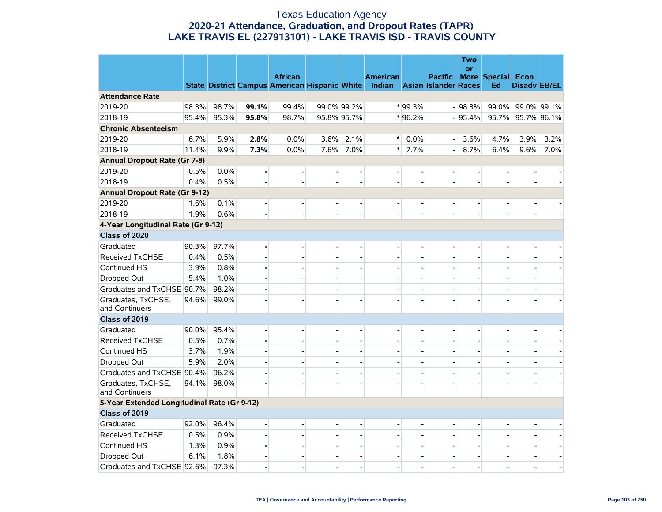#### Texas Education Agency **2020-21 Attendance, Graduation, and Dropout Rates (TAPR) LAKE TRAVIS EL (227913101) - LAKE TRAVIS ISD - TRAVIS COUNTY**

|                                             |       |       |                | <b>African</b>                                                            |                          |                | <b>American</b>          |                          | <b>Pacific</b> | <b>Two</b><br><b>or</b> | <b>More Special Econ</b> |                     |                          |
|---------------------------------------------|-------|-------|----------------|---------------------------------------------------------------------------|--------------------------|----------------|--------------------------|--------------------------|----------------|-------------------------|--------------------------|---------------------|--------------------------|
|                                             |       |       |                | State District Campus American Hispanic White Indian Asian Islander Races |                          |                |                          |                          |                |                         | Ed                       | <b>Disady EB/EL</b> |                          |
| <b>Attendance Rate</b>                      |       |       |                |                                                                           |                          |                |                          |                          |                |                         |                          |                     |                          |
| 2019-20                                     | 98.3% | 98.7% | 99.1%          | 99.4%                                                                     |                          | 99.0% 99.2%    |                          | $*99.3%$                 |                | $-98.8%$                |                          | 99.0% 99.0% 99.1%   |                          |
| 2018-19                                     | 95.4% | 95.3% | 95.8%          | 98.7%                                                                     |                          | 95.8% 95.7%    |                          | $*96.2%$                 |                | $-95.4%$                |                          | 95.7% 95.7% 96.1%   |                          |
| <b>Chronic Absenteeism</b>                  |       |       |                |                                                                           |                          |                |                          |                          |                |                         |                          |                     |                          |
| 2019-20                                     | 6.7%  | 5.9%  | 2.8%           | 0.0%                                                                      | 3.6%                     | 2.1%           | $\ast$                   | 0.0%                     | $\blacksquare$ | 3.6%                    | 4.7%                     | 3.9%                | 3.2%                     |
| 2018-19                                     | 11.4% | 9.9%  | 7.3%           | 0.0%                                                                      | 7.6%                     | 7.0%           | $\pmb{\ast}$             | 7.7%                     |                | 8.7%                    | 6.4%                     | 9.6%                | 7.0%                     |
| <b>Annual Dropout Rate (Gr 7-8)</b>         |       |       |                |                                                                           |                          |                |                          |                          |                |                         |                          |                     |                          |
| 2019-20                                     | 0.5%  | 0.0%  | $\blacksquare$ | $\overline{a}$                                                            | $\overline{\phantom{a}}$ |                | $\overline{\phantom{a}}$ |                          |                | $\overline{a}$          | $\overline{\phantom{0}}$ |                     |                          |
| 2018-19                                     | 0.4%  | 0.5%  |                | $\qquad \qquad \blacksquare$                                              | $\overline{\phantom{a}}$ |                |                          |                          |                |                         | $\overline{\phantom{a}}$ |                     |                          |
| <b>Annual Dropout Rate (Gr 9-12)</b>        |       |       |                |                                                                           |                          |                |                          |                          |                |                         |                          |                     |                          |
| 2019-20                                     | 1.6%  | 0.1%  |                |                                                                           | $\overline{\phantom{0}}$ |                | -                        |                          |                |                         |                          |                     |                          |
| 2018-19                                     | 1.9%  | 0.6%  |                |                                                                           |                          |                |                          |                          |                |                         |                          |                     |                          |
| 4-Year Longitudinal Rate (Gr 9-12)          |       |       |                |                                                                           |                          |                |                          |                          |                |                         |                          |                     |                          |
| Class of 2020                               |       |       |                |                                                                           |                          |                |                          |                          |                |                         |                          |                     |                          |
| Graduated                                   | 90.3% | 97.7% | $\blacksquare$ | $\overline{a}$                                                            | $\overline{\phantom{a}}$ | $\overline{a}$ | $\overline{\phantom{a}}$ | $\overline{a}$           |                | $\overline{a}$          | $\overline{\phantom{a}}$ | $\overline{a}$      |                          |
| <b>Received TxCHSE</b>                      | 0.4%  | 0.5%  | ۰              |                                                                           |                          |                |                          |                          |                |                         |                          |                     |                          |
| Continued HS                                | 3.9%  | 0.8%  | $\blacksquare$ |                                                                           | $\overline{a}$           |                |                          |                          |                |                         |                          |                     |                          |
| Dropped Out                                 | 5.4%  | 1.0%  |                |                                                                           | $\overline{a}$           |                |                          |                          |                |                         |                          |                     |                          |
| Graduates and TxCHSE 90.7%                  |       | 98.2% |                |                                                                           | $\overline{a}$           |                |                          |                          |                |                         |                          |                     |                          |
| Graduates, TxCHSE,<br>and Continuers        | 94.6% | 99.0% |                |                                                                           | $\overline{a}$           |                |                          |                          |                |                         |                          |                     |                          |
| Class of 2019                               |       |       |                |                                                                           |                          |                |                          |                          |                |                         |                          |                     |                          |
| Graduated                                   | 90.0% | 95.4% | $\blacksquare$ |                                                                           | $\overline{\phantom{a}}$ | $\overline{a}$ | $\overline{a}$           | $\overline{a}$           |                |                         | $\overline{a}$           | $\qquad \qquad$     |                          |
| <b>Received TxCHSE</b>                      | 0.5%  | 0.7%  | ۰              |                                                                           | $\overline{a}$           |                | $\overline{\phantom{0}}$ |                          |                |                         |                          |                     |                          |
| Continued HS                                | 3.7%  | 1.9%  |                |                                                                           | $\blacksquare$           |                |                          |                          |                |                         |                          |                     |                          |
| Dropped Out                                 | 5.9%  | 2.0%  |                |                                                                           | $\overline{a}$           |                |                          |                          |                |                         | $\overline{a}$           |                     |                          |
| Graduates and TxCHSE 90.4%                  |       | 96.2% |                |                                                                           | $\blacksquare$           |                | $\overline{a}$           |                          |                |                         |                          |                     |                          |
| Graduates, TxCHSE,<br>and Continuers        | 94.1% | 98.0% |                |                                                                           |                          |                |                          |                          |                |                         |                          |                     |                          |
| 5-Year Extended Longitudinal Rate (Gr 9-12) |       |       |                |                                                                           |                          |                |                          |                          |                |                         |                          |                     |                          |
| Class of 2019                               |       |       |                |                                                                           |                          |                |                          |                          |                |                         |                          |                     |                          |
| Graduated                                   | 92.0% | 96.4% | ä,             |                                                                           | $\blacksquare$           |                | $\frac{1}{2}$            |                          |                |                         |                          |                     |                          |
| <b>Received TxCHSE</b>                      | 0.5%  | 0.9%  |                |                                                                           |                          |                |                          |                          |                |                         |                          |                     |                          |
| Continued HS                                | 1.3%  | 0.9%  |                |                                                                           | $\overline{\phantom{a}}$ |                | $\overline{\phantom{0}}$ |                          |                |                         | $\blacksquare$           |                     |                          |
| Dropped Out                                 | 6.1%  | 1.8%  |                |                                                                           | $\overline{\phantom{a}}$ |                | $\blacksquare$           | $\overline{\phantom{a}}$ |                |                         | $\blacksquare$           |                     | $\overline{\phantom{a}}$ |
| Graduates and TxCHSE 92.6%                  |       | 97.3% |                |                                                                           | $\overline{a}$           |                |                          |                          |                |                         |                          |                     | $\overline{\phantom{a}}$ |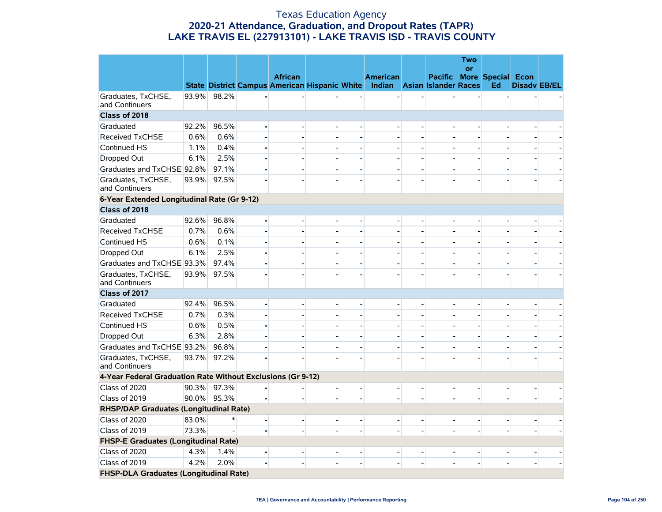#### Texas Education Agency **2020-21 Attendance, Graduation, and Dropout Rates (TAPR) LAKE TRAVIS EL (227913101) - LAKE TRAVIS ISD - TRAVIS COUNTY**

|                                                             |       |             |                                               |                          |                             |                | <b>Two</b><br><b>or</b> |                          |                     |        |
|-------------------------------------------------------------|-------|-------------|-----------------------------------------------|--------------------------|-----------------------------|----------------|-------------------------|--------------------------|---------------------|--------|
|                                                             |       |             | <b>African</b>                                |                          | <b>American</b>             | <b>Pacific</b> |                         | <b>More Special Econ</b> |                     |        |
|                                                             |       |             | State District Campus American Hispanic White |                          | Indian Asian Islander Races |                |                         | Ed                       | <b>Disady EB/EL</b> |        |
| Graduates, TxCHSE,<br>and Continuers                        | 93.9% | 98.2%       |                                               |                          |                             |                |                         |                          |                     |        |
| Class of 2018                                               |       |             |                                               |                          |                             |                |                         |                          |                     |        |
| Graduated                                                   | 92.2% | 96.5%       |                                               |                          |                             |                |                         |                          |                     |        |
| Received TxCHSE                                             | 0.6%  | 0.6%        |                                               |                          |                             |                |                         |                          |                     |        |
| Continued HS                                                | 1.1%  | 0.4%        |                                               |                          |                             |                |                         |                          |                     |        |
| Dropped Out                                                 | 6.1%  | 2.5%        |                                               | $\overline{a}$           | $\overline{a}$              |                |                         | $\overline{a}$           |                     |        |
| Graduates and TxCHSE 92.8%                                  |       | 97.1%       |                                               | $\overline{a}$           |                             |                |                         |                          |                     |        |
| Graduates, TxCHSE,<br>and Continuers                        | 93.9% | 97.5%       |                                               |                          |                             |                |                         |                          |                     |        |
| 6-Year Extended Longitudinal Rate (Gr 9-12)                 |       |             |                                               |                          |                             |                |                         |                          |                     |        |
| Class of 2018                                               |       |             |                                               |                          |                             |                |                         |                          |                     |        |
| Graduated                                                   | 92.6% | 96.8%       |                                               | $\blacksquare$           |                             |                |                         |                          |                     |        |
| <b>Received TxCHSE</b>                                      | 0.7%  | 0.6%        |                                               | $\overline{\phantom{a}}$ |                             |                |                         |                          |                     |        |
| Continued HS                                                | 0.6%  | 0.1%        |                                               | $\blacksquare$           |                             |                |                         |                          |                     |        |
| Dropped Out                                                 | 6.1%  | 2.5%        |                                               |                          |                             |                |                         |                          |                     |        |
| Graduates and TxCHSE 93.3%                                  |       | 97.4%       |                                               |                          |                             |                |                         |                          |                     |        |
| Graduates, TxCHSE,<br>and Continuers                        | 93.9% | 97.5%       |                                               |                          |                             |                |                         |                          |                     |        |
| Class of 2017                                               |       |             |                                               |                          |                             |                |                         |                          |                     |        |
| Graduated                                                   | 92.4% | 96.5%       |                                               | $\overline{\phantom{a}}$ |                             |                |                         |                          |                     |        |
| <b>Received TxCHSE</b>                                      | 0.7%  | 0.3%        |                                               |                          |                             |                |                         |                          |                     |        |
| Continued HS                                                | 0.6%  | 0.5%        |                                               | $\blacksquare$           | $\overline{a}$              |                |                         | $\overline{a}$           |                     | $\sim$ |
| Dropped Out                                                 | 6.3%  | 2.8%        |                                               |                          |                             |                |                         |                          |                     |        |
| Graduates and TxCHSE 93.2%                                  |       | 96.8%       |                                               |                          |                             |                |                         |                          |                     |        |
| Graduates, TxCHSE,<br>and Continuers                        | 93.7% | 97.2%       |                                               |                          |                             |                |                         |                          |                     |        |
| 4-Year Federal Graduation Rate Without Exclusions (Gr 9-12) |       |             |                                               |                          |                             |                |                         |                          |                     |        |
| Class of 2020                                               |       | 90.3% 97.3% |                                               | $\overline{\phantom{0}}$ | $\overline{a}$              |                |                         | $\overline{a}$           |                     |        |
| Class of 2019                                               |       | 90.0% 95.3% |                                               | $\overline{\phantom{a}}$ |                             |                |                         |                          |                     |        |
| RHSP/DAP Graduates (Longitudinal Rate)                      |       |             |                                               |                          |                             |                |                         |                          |                     |        |
| Class of 2020                                               | 83.0% |             |                                               | $\overline{a}$           |                             |                |                         |                          |                     |        |
| Class of 2019                                               | 73.3% |             |                                               | $\overline{a}$           |                             |                |                         | $\overline{a}$           |                     |        |
| <b>FHSP-E Graduates (Longitudinal Rate)</b>                 |       |             |                                               |                          |                             |                |                         |                          |                     |        |
| Class of 2020                                               | 4.3%  | 1.4%        |                                               |                          |                             |                |                         |                          |                     |        |
| Class of 2019                                               | 4.2%  | 2.0%        |                                               |                          |                             |                |                         |                          |                     |        |
| <b>FHSP-DLA Graduates (Longitudinal Rate)</b>               |       |             |                                               |                          |                             |                |                         |                          |                     |        |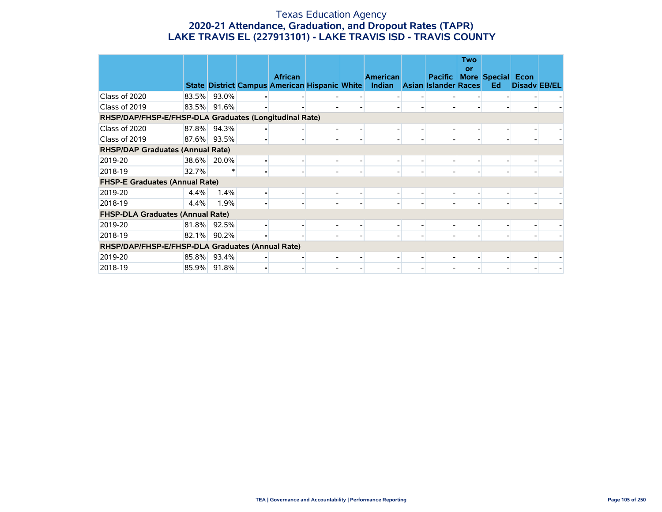#### Texas Education Agency **2020-21 Attendance, Graduation, and Dropout Rates (TAPR) LAKE TRAVIS EL (227913101) - LAKE TRAVIS ISD - TRAVIS COUNTY**

|                                                        |       |             |                                                                        |                          |                                  |                                               | <b>Two</b><br>or |                                |                     |  |
|--------------------------------------------------------|-------|-------------|------------------------------------------------------------------------|--------------------------|----------------------------------|-----------------------------------------------|------------------|--------------------------------|---------------------|--|
|                                                        |       |             | <b>African</b><br><b>State District Campus American Hispanic White</b> |                          | <b>American</b><br><b>Indian</b> | <b>Pacific</b><br><b>Asian Islander Races</b> |                  | <b>More Special Econ</b><br>Ed | <b>Disady EB/EL</b> |  |
| Class of 2020                                          | 83.5% | 93.0%       |                                                                        |                          |                                  |                                               |                  |                                |                     |  |
| Class of 2019                                          | 83.5% | 91.6%       |                                                                        |                          |                                  |                                               |                  |                                |                     |  |
| RHSP/DAP/FHSP-E/FHSP-DLA Graduates (Longitudinal Rate) |       |             |                                                                        |                          |                                  |                                               |                  |                                |                     |  |
| Class of 2020                                          | 87.8% | 94.3%       |                                                                        |                          |                                  |                                               |                  |                                |                     |  |
| Class of 2019                                          | 87.6% | 93.5%       |                                                                        | $\overline{\phantom{0}}$ |                                  |                                               |                  |                                |                     |  |
| <b>RHSP/DAP Graduates (Annual Rate)</b>                |       |             |                                                                        |                          |                                  |                                               |                  |                                |                     |  |
| 2019-20                                                | 38.6% | 20.0%       |                                                                        |                          |                                  |                                               |                  |                                |                     |  |
| 2018-19                                                | 32.7% |             |                                                                        | $\overline{\phantom{a}}$ |                                  |                                               |                  |                                |                     |  |
| <b>FHSP-E Graduates (Annual Rate)</b>                  |       |             |                                                                        |                          |                                  |                                               |                  |                                |                     |  |
| 2019-20                                                | 4.4%  | 1.4%        |                                                                        |                          |                                  |                                               |                  |                                |                     |  |
| 2018-19                                                | 4.4%  | 1.9%        |                                                                        | $\overline{\phantom{0}}$ |                                  |                                               |                  |                                |                     |  |
| <b>FHSP-DLA Graduates (Annual Rate)</b>                |       |             |                                                                        |                          |                                  |                                               |                  |                                |                     |  |
| 2019-20                                                | 81.8% | 92.5%       |                                                                        |                          |                                  |                                               |                  |                                |                     |  |
| 2018-19                                                | 82.1% | 90.2%       |                                                                        |                          |                                  |                                               |                  |                                |                     |  |
| RHSP/DAP/FHSP-E/FHSP-DLA Graduates (Annual Rate)       |       |             |                                                                        |                          |                                  |                                               |                  |                                |                     |  |
| 2019-20                                                | 85.8% | 93.4%       |                                                                        |                          |                                  |                                               |                  |                                |                     |  |
| 2018-19                                                |       | 85.9% 91.8% |                                                                        |                          |                                  |                                               |                  |                                |                     |  |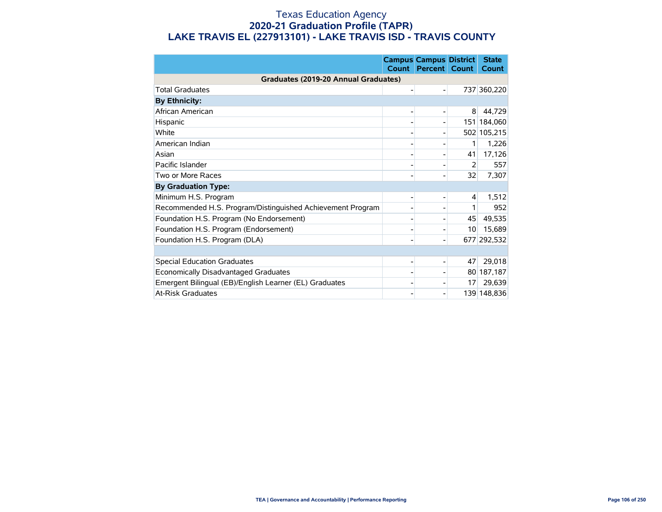#### Texas Education Agency **2020-21 Graduation Profile (TAPR) LAKE TRAVIS EL (227913101) - LAKE TRAVIS ISD - TRAVIS COUNTY**

|                                                            | <b>Count</b> | <b>Campus Campus District</b><br><b>Percent</b> | <b>Count</b>   | <b>State</b><br><b>Count</b> |
|------------------------------------------------------------|--------------|-------------------------------------------------|----------------|------------------------------|
| Graduates (2019-20 Annual Graduates)                       |              |                                                 |                |                              |
| <b>Total Graduates</b>                                     |              |                                                 |                | 737 360,220                  |
| <b>By Ethnicity:</b>                                       |              |                                                 |                |                              |
| African American                                           |              |                                                 | 8              | 44,729                       |
| Hispanic                                                   |              |                                                 |                | 151 184,060                  |
| White                                                      |              |                                                 |                | 502 105,215                  |
| American Indian                                            |              |                                                 | 1              | 1,226                        |
| Asian                                                      |              |                                                 | 41             | 17,126                       |
| Pacific Islander                                           |              |                                                 | $\overline{2}$ | 557                          |
| Two or More Races                                          |              |                                                 | 32             | 7,307                        |
| <b>By Graduation Type:</b>                                 |              |                                                 |                |                              |
| Minimum H.S. Program                                       |              |                                                 | 4              | 1,512                        |
| Recommended H.S. Program/Distinguished Achievement Program |              |                                                 |                | 952                          |
| Foundation H.S. Program (No Endorsement)                   |              |                                                 | 45             | 49,535                       |
| Foundation H.S. Program (Endorsement)                      |              |                                                 | 10             | 15,689                       |
| Foundation H.S. Program (DLA)                              |              |                                                 |                | 677 292,532                  |
|                                                            |              |                                                 |                |                              |
| <b>Special Education Graduates</b>                         |              |                                                 | 47             | 29,018                       |
| Economically Disadvantaged Graduates                       |              |                                                 | 80             | 187,187                      |
| Emergent Bilingual (EB)/English Learner (EL) Graduates     |              |                                                 | 17             | 29,639                       |
| <b>At-Risk Graduates</b>                                   |              |                                                 |                | 139 148,836                  |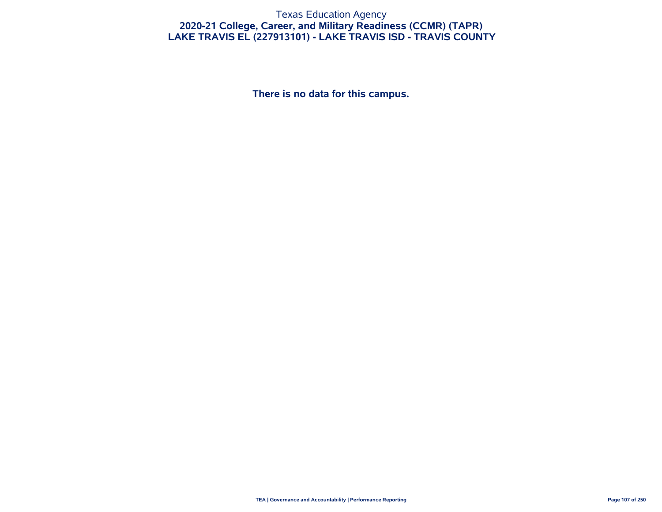#### Texas Education Agency **2020-21 College, Career, and Military Readiness (CCMR) (TAPR) LAKE TRAVIS EL (227913101) - LAKE TRAVIS ISD - TRAVIS COUNTY**

**There is no data for this campus.**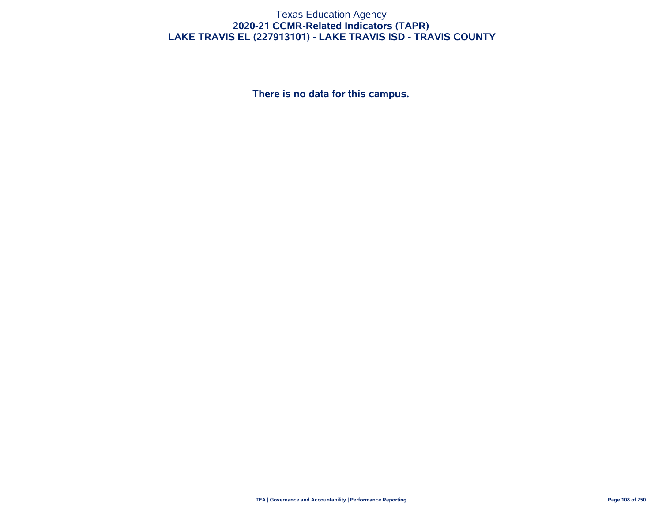#### Texas Education Agency **2020-21 CCMR-Related Indicators (TAPR) LAKE TRAVIS EL (227913101) - LAKE TRAVIS ISD - TRAVIS COUNTY**

**There is no data for this campus.**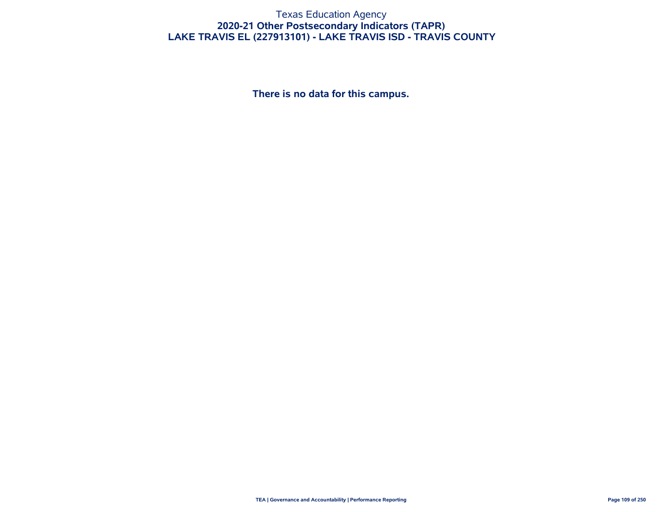#### Texas Education Agency **2020-21 Other Postsecondary Indicators (TAPR) LAKE TRAVIS EL (227913101) - LAKE TRAVIS ISD - TRAVIS COUNTY**

**There is no data for this campus.**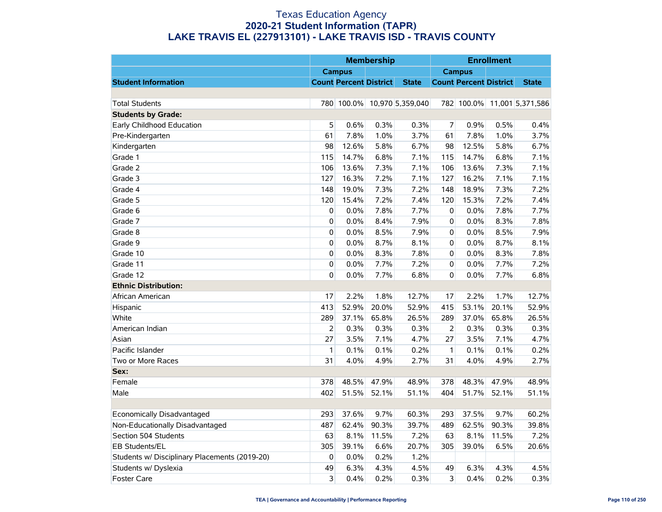|                                               |                |                               | <b>Membership</b> |                             |                |                               | <b>Enrollment</b> |                             |
|-----------------------------------------------|----------------|-------------------------------|-------------------|-----------------------------|----------------|-------------------------------|-------------------|-----------------------------|
|                                               |                | <b>Campus</b>                 |                   |                             |                | <b>Campus</b>                 |                   |                             |
| <b>Student Information</b>                    |                | <b>Count Percent District</b> |                   | <b>State</b>                |                | <b>Count Percent District</b> |                   | <b>State</b>                |
|                                               |                |                               |                   |                             |                |                               |                   |                             |
| <b>Total Students</b>                         |                |                               |                   | 780 100.0% 10,970 5,359,040 |                |                               |                   | 782 100.0% 11,001 5,371,586 |
| <b>Students by Grade:</b>                     |                |                               |                   |                             |                |                               |                   |                             |
| Early Childhood Education                     | 5              | 0.6%                          | 0.3%              | 0.3%                        | 7              | 0.9%                          | 0.5%              | 0.4%                        |
| Pre-Kindergarten                              | 61             | 7.8%                          | 1.0%              | 3.7%                        | 61             | 7.8%                          | 1.0%              | 3.7%                        |
| Kindergarten                                  | 98             | 12.6%                         | 5.8%              | 6.7%                        | 98             | 12.5%                         | 5.8%              | 6.7%                        |
| Grade 1                                       | 115            | 14.7%                         | 6.8%              | 7.1%                        | 115            | 14.7%                         | 6.8%              | 7.1%                        |
| Grade 2                                       | 106            | 13.6%                         | 7.3%              | 7.1%                        | 106            | 13.6%                         | 7.3%              | 7.1%                        |
| Grade 3                                       | 127            | 16.3%                         | 7.2%              | 7.1%                        | 127            | 16.2%                         | 7.1%              | 7.1%                        |
| Grade 4                                       | 148            | 19.0%                         | 7.3%              | 7.2%                        | 148            | 18.9%                         | 7.3%              | 7.2%                        |
| Grade 5                                       | 120            | 15.4%                         | 7.2%              | 7.4%                        | 120            | 15.3%                         | 7.2%              | 7.4%                        |
| Grade 6                                       | 0              | 0.0%                          | 7.8%              | 7.7%                        | $\mathbf 0$    | 0.0%                          | 7.8%              | 7.7%                        |
| Grade 7                                       | $\mathbf 0$    | 0.0%                          | 8.4%              | 7.9%                        | 0              | 0.0%                          | 8.3%              | 7.8%                        |
| Grade 8                                       | 0              | 0.0%                          | 8.5%              | 7.9%                        | $\pmb{0}$      | 0.0%                          | 8.5%              | 7.9%                        |
| Grade 9                                       | $\mathbf 0$    | 0.0%                          | 8.7%              | 8.1%                        | 0              | 0.0%                          | 8.7%              | 8.1%                        |
| Grade 10                                      | $\mathbf 0$    | 0.0%                          | 8.3%              | 7.8%                        | 0              | 0.0%                          | 8.3%              | 7.8%                        |
| Grade 11                                      | 0              | 0.0%                          | 7.7%              | 7.2%                        | $\pmb{0}$      | 0.0%                          | 7.7%              | 7.2%                        |
| Grade 12                                      | $\mathbf 0$    | 0.0%                          | 7.7%              | 6.8%                        | 0              | 0.0%                          | 7.7%              | 6.8%                        |
| <b>Ethnic Distribution:</b>                   |                |                               |                   |                             |                |                               |                   |                             |
| African American                              | 17             | 2.2%                          | 1.8%              | 12.7%                       | 17             | 2.2%                          | 1.7%              | 12.7%                       |
| Hispanic                                      | 413            | 52.9%                         | 20.0%             | 52.9%                       | 415            | 53.1%                         | 20.1%             | 52.9%                       |
| White                                         | 289            | 37.1%                         | 65.8%             | 26.5%                       | 289            | 37.0%                         | 65.8%             | 26.5%                       |
| American Indian                               | $\overline{2}$ | 0.3%                          | 0.3%              | 0.3%                        | $\overline{2}$ | 0.3%                          | 0.3%              | 0.3%                        |
| Asian                                         | 27             | 3.5%                          | 7.1%              | 4.7%                        | 27             | 3.5%                          | 7.1%              | 4.7%                        |
| Pacific Islander                              | $\mathbf{1}$   | 0.1%                          | 0.1%              | 0.2%                        | 1              | 0.1%                          | 0.1%              | 0.2%                        |
| Two or More Races                             | 31             | 4.0%                          | 4.9%              | 2.7%                        | 31             | 4.0%                          | 4.9%              | 2.7%                        |
| Sex:                                          |                |                               |                   |                             |                |                               |                   |                             |
| Female                                        | 378            | 48.5%                         | 47.9%             | 48.9%                       | 378            | 48.3%                         | 47.9%             | 48.9%                       |
| Male                                          | 402            | 51.5%                         | 52.1%             | 51.1%                       | 404            | 51.7%                         | 52.1%             | 51.1%                       |
|                                               |                |                               |                   |                             |                |                               |                   |                             |
| Economically Disadvantaged                    | 293            | 37.6%                         | 9.7%              | 60.3%                       | 293            | 37.5%                         | 9.7%              | 60.2%                       |
| Non-Educationally Disadvantaged               | 487            | 62.4%                         | 90.3%             | 39.7%                       | 489            | 62.5%                         | 90.3%             | 39.8%                       |
| Section 504 Students                          | 63             | 8.1%                          | 11.5%             | 7.2%                        | 63             | 8.1%                          | 11.5%             | 7.2%                        |
| EB Students/EL                                | 305            | 39.1%                         | 6.6%              | 20.7%                       | 305            | 39.0%                         | 6.5%              | 20.6%                       |
| Students w/ Disciplinary Placements (2019-20) | 0              | 0.0%                          | 0.2%              | 1.2%                        |                |                               |                   |                             |
| Students w/ Dyslexia                          | 49             | 6.3%                          | 4.3%              | 4.5%                        | 49             | 6.3%                          | 4.3%              | 4.5%                        |
| <b>Foster Care</b>                            | 3              | 0.4%                          | 0.2%              | 0.3%                        | 3              | 0.4%                          | 0.2%              | 0.3%                        |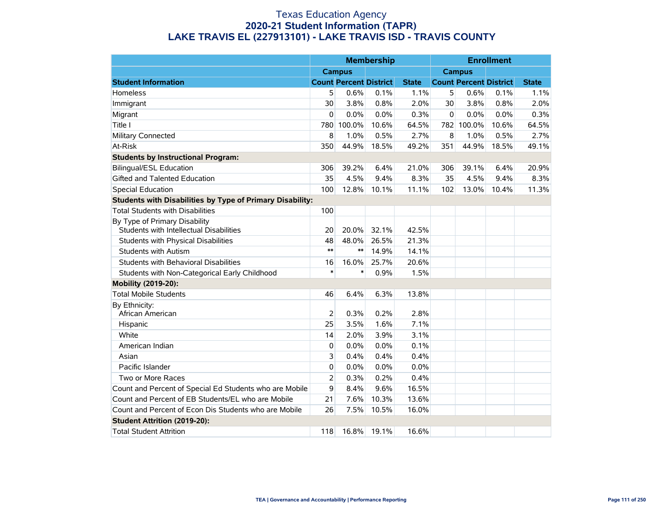|                                                                          | <b>Membership</b> |                               |       | <b>Enrollment</b> |               |                               |       |              |
|--------------------------------------------------------------------------|-------------------|-------------------------------|-------|-------------------|---------------|-------------------------------|-------|--------------|
|                                                                          |                   | <b>Campus</b>                 |       |                   | <b>Campus</b> |                               |       |              |
| <b>Student Information</b>                                               |                   | <b>Count Percent District</b> |       | <b>State</b>      |               | <b>Count Percent District</b> |       | <b>State</b> |
| <b>Homeless</b>                                                          | 5                 | 0.6%                          | 0.1%  | 1.1%              | 5             | 0.6%                          | 0.1%  | 1.1%         |
| Immigrant                                                                | 30                | 3.8%                          | 0.8%  | 2.0%              | 30            | 3.8%                          | 0.8%  | 2.0%         |
| Migrant                                                                  | $\Omega$          | 0.0%                          | 0.0%  | 0.3%              | 0             | 0.0%                          | 0.0%  | 0.3%         |
| Title I                                                                  | 780               | 100.0%                        | 10.6% | 64.5%             | 782           | 100.0%                        | 10.6% | 64.5%        |
| <b>Military Connected</b>                                                | 8                 | 1.0%                          | 0.5%  | 2.7%              | 8             | 1.0%                          | 0.5%  | 2.7%         |
| At-Risk                                                                  | 350               | 44.9%                         | 18.5% | 49.2%             | 351           | 44.9%                         | 18.5% | 49.1%        |
| <b>Students by Instructional Program:</b>                                |                   |                               |       |                   |               |                               |       |              |
| <b>Bilingual/ESL Education</b>                                           | 306               | 39.2%                         | 6.4%  | 21.0%             | 306           | 39.1%                         | 6.4%  | 20.9%        |
| Gifted and Talented Education                                            | 35                | 4.5%                          | 9.4%  | 8.3%              | 35            | 4.5%                          | 9.4%  | 8.3%         |
| <b>Special Education</b>                                                 | 100               | 12.8%                         | 10.1% | 11.1%             | 102           | 13.0%                         | 10.4% | 11.3%        |
| Students with Disabilities by Type of Primary Disability:                |                   |                               |       |                   |               |                               |       |              |
| <b>Total Students with Disabilities</b>                                  | 100               |                               |       |                   |               |                               |       |              |
| By Type of Primary Disability<br>Students with Intellectual Disabilities | 20                | 20.0%                         | 32.1% | 42.5%             |               |                               |       |              |
| Students with Physical Disabilities                                      | 48                | 48.0%                         | 26.5% | 21.3%             |               |                               |       |              |
| <b>Students with Autism</b>                                              | $**$              | $**$                          | 14.9% | 14.1%             |               |                               |       |              |
| Students with Behavioral Disabilities                                    | 16                | 16.0%                         | 25.7% | 20.6%             |               |                               |       |              |
| Students with Non-Categorical Early Childhood                            | $\ast$            | $\ast$                        | 0.9%  | 1.5%              |               |                               |       |              |
| Mobility (2019-20):                                                      |                   |                               |       |                   |               |                               |       |              |
| <b>Total Mobile Students</b>                                             | 46                | 6.4%                          | 6.3%  | 13.8%             |               |                               |       |              |
| By Ethnicity:<br>African American                                        | 2                 | 0.3%                          | 0.2%  | 2.8%              |               |                               |       |              |
| Hispanic                                                                 | 25                | 3.5%                          | 1.6%  | 7.1%              |               |                               |       |              |
| White                                                                    | 14                | 2.0%                          | 3.9%  | 3.1%              |               |                               |       |              |
| American Indian                                                          | 0                 | 0.0%                          | 0.0%  | 0.1%              |               |                               |       |              |
| Asian                                                                    | 3                 | 0.4%                          | 0.4%  | 0.4%              |               |                               |       |              |
| Pacific Islander                                                         | 0                 | 0.0%                          | 0.0%  | 0.0%              |               |                               |       |              |
| Two or More Races                                                        | 2                 | 0.3%                          | 0.2%  | 0.4%              |               |                               |       |              |
| Count and Percent of Special Ed Students who are Mobile                  | 9                 | 8.4%                          | 9.6%  | 16.5%             |               |                               |       |              |
| Count and Percent of EB Students/EL who are Mobile                       | 21                | 7.6%                          | 10.3% | 13.6%             |               |                               |       |              |
| Count and Percent of Econ Dis Students who are Mobile                    | 26                | 7.5%                          | 10.5% | 16.0%             |               |                               |       |              |
| <b>Student Attrition (2019-20):</b>                                      |                   |                               |       |                   |               |                               |       |              |
| <b>Total Student Attrition</b>                                           | 118               | 16.8%                         | 19.1% | 16.6%             |               |                               |       |              |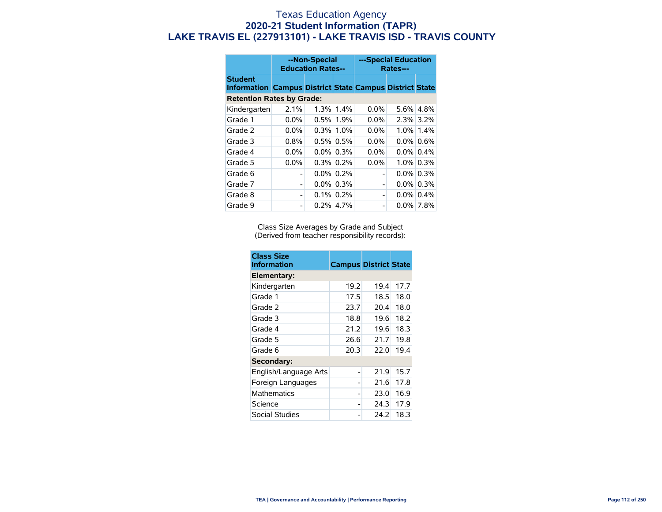|                                                                                  | --Non-Special<br><b>Education Rates--</b> |         |              | ---Special Education<br>Rates--- |  |              |  |
|----------------------------------------------------------------------------------|-------------------------------------------|---------|--------------|----------------------------------|--|--------------|--|
| <b>Student</b><br><b>Information Campus District State Campus District State</b> |                                           |         |              |                                  |  |              |  |
| <b>Retention Rates by Grade:</b>                                                 |                                           |         |              |                                  |  |              |  |
| Kindergarten                                                                     | 2.1%                                      | 1.3%    | 1.4%         | 0.0%                             |  | 5.6% 4.8%    |  |
| Grade 1                                                                          | $0.0\%$                                   | 0.5%    | 1.9%         | $0.0\%$                          |  | $2.3\%$ 3.2% |  |
| Grade 2                                                                          | $0.0\%$                                   | $0.3\%$ | 1.0%         | 0.0%                             |  | $1.0\%$ 1.4% |  |
| Grade 3                                                                          | $0.8\%$                                   |         | $0.5\%$ 0.5% | $0.0\%$                          |  | $0.0\%$ 0.6% |  |
| Grade 4                                                                          | $0.0\%$                                   |         | $0.0\%$ 0.3% | $0.0\%$                          |  | $0.0\%$ 0.4% |  |
| Grade 5                                                                          | 0.0%                                      |         | $0.3\%$ 0.2% | 0.0%                             |  | $1.0\%$ 0.3% |  |
| Grade 6                                                                          |                                           |         | $0.0\%$ 0.2% | -                                |  | $0.0\%$ 0.3% |  |
| Grade 7                                                                          |                                           |         | $0.0\%$ 0.3% | $\overline{a}$                   |  | $0.0\%$ 0.3% |  |
| Grade 8                                                                          |                                           |         | $0.1\%$ 0.2% | -                                |  | $0.0\%$ 0.4% |  |
| Grade 9                                                                          |                                           |         | $0.2\%$ 4.7% | -                                |  | $0.0\%$ 7.8% |  |

Class Size Averages by Grade and Subject (Derived from teacher responsibility records):

| <b>Class Size</b><br><b>Information</b> | <b>Campus District State</b> |      |      |
|-----------------------------------------|------------------------------|------|------|
| Elementary:                             |                              |      |      |
| Kindergarten                            | 19.2                         | 19.4 | 17.7 |
| Grade 1                                 | 17.5                         | 18.5 | 18.0 |
| Grade 2                                 | 23.7                         | 20.4 | 18.0 |
| Grade 3                                 | 18.8                         | 19.6 | 18.2 |
| Grade 4                                 | 21.2                         | 19.6 | 18.3 |
| Grade 5                                 | 26.6                         | 21.7 | 19.8 |
| Grade 6                                 | 20.3                         | 22.0 | 19.4 |
| Secondary:                              |                              |      |      |
| English/Language Arts                   |                              | 21.9 | 15.7 |
| Foreign Languages                       |                              | 21.6 | 17.8 |
| Mathematics                             |                              | 23.0 | 16.9 |
| Science                                 |                              | 24.3 | 17.9 |
| Social Studies                          |                              | 24.2 | 18.3 |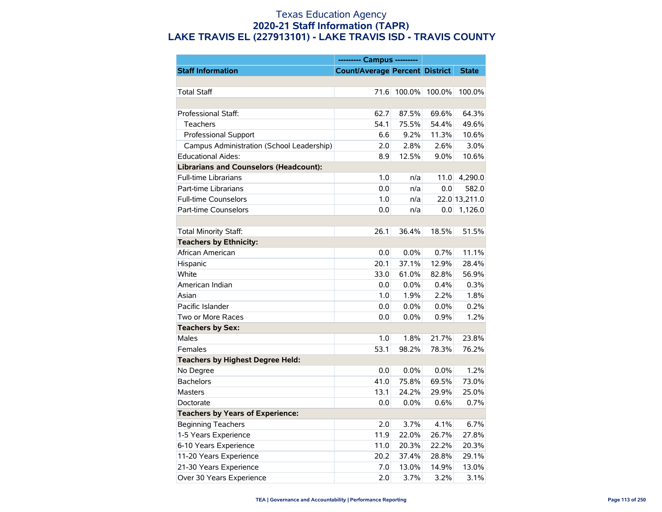|                                               | --------- Campus ---------            |        |        |               |
|-----------------------------------------------|---------------------------------------|--------|--------|---------------|
| <b>Staff Information</b>                      | <b>Count/Average Percent District</b> |        |        | <b>State</b>  |
|                                               |                                       |        |        |               |
| <b>Total Staff</b>                            | 71.6                                  | 100.0% | 100.0% | 100.0%        |
|                                               |                                       |        |        |               |
| Professional Staff:                           | 62.7                                  | 87.5%  | 69.6%  | 64.3%         |
| <b>Teachers</b>                               | 54.1                                  | 75.5%  | 54.4%  | 49.6%         |
| Professional Support                          | 6.6                                   | 9.2%   | 11.3%  | 10.6%         |
| Campus Administration (School Leadership)     | 2.0                                   | 2.8%   | 2.6%   | 3.0%          |
| <b>Educational Aides:</b>                     | 8.9                                   | 12.5%  | 9.0%   | 10.6%         |
| <b>Librarians and Counselors (Headcount):</b> |                                       |        |        |               |
| <b>Full-time Librarians</b>                   | 1.0                                   | n/a    | 11.0   | 4,290.0       |
| Part-time Librarians                          | 0.0                                   | n/a    | 0.0    | 582.0         |
| <b>Full-time Counselors</b>                   | 1.0                                   | n/a    |        | 22.0 13,211.0 |
| Part-time Counselors                          | 0.0                                   | n/a    | 0.0    | 1,126.0       |
|                                               |                                       |        |        |               |
| <b>Total Minority Staff:</b>                  | 26.1                                  | 36.4%  | 18.5%  | 51.5%         |
| <b>Teachers by Ethnicity:</b>                 |                                       |        |        |               |
| African American                              | 0.0                                   | 0.0%   | 0.7%   | 11.1%         |
| Hispanic                                      | 20.1                                  | 37.1%  | 12.9%  | 28.4%         |
| White                                         | 33.0                                  | 61.0%  | 82.8%  | 56.9%         |
| American Indian                               | 0.0                                   | 0.0%   | 0.4%   | 0.3%          |
| Asian                                         | 1.0                                   | 1.9%   | 2.2%   | 1.8%          |
| Pacific Islander                              | 0.0                                   | 0.0%   | 0.0%   | 0.2%          |
| Two or More Races                             | 0.0                                   | 0.0%   | 0.9%   | 1.2%          |
| <b>Teachers by Sex:</b>                       |                                       |        |        |               |
| Males                                         | 1.0                                   | 1.8%   | 21.7%  | 23.8%         |
| Females                                       | 53.1                                  | 98.2%  | 78.3%  | 76.2%         |
| <b>Teachers by Highest Degree Held:</b>       |                                       |        |        |               |
| No Degree                                     | 0.0                                   | 0.0%   | 0.0%   | 1.2%          |
| <b>Bachelors</b>                              | 41.0                                  | 75.8%  | 69.5%  | 73.0%         |
| <b>Masters</b>                                | 13.1                                  | 24.2%  | 29.9%  | 25.0%         |
| Doctorate                                     | 0.0                                   | 0.0%   | 0.6%   | 0.7%          |
| <b>Teachers by Years of Experience:</b>       |                                       |        |        |               |
| <b>Beginning Teachers</b>                     | 2.0                                   | 3.7%   | 4.1%   | 6.7%          |
| 1-5 Years Experience                          | 11.9                                  | 22.0%  | 26.7%  | 27.8%         |
| 6-10 Years Experience                         | 11.0                                  | 20.3%  | 22.2%  | 20.3%         |
| 11-20 Years Experience                        | 20.2                                  | 37.4%  | 28.8%  | 29.1%         |
| 21-30 Years Experience                        | 7.0                                   | 13.0%  | 14.9%  | 13.0%         |
| Over 30 Years Experience                      | 2.0                                   | 3.7%   | 3.2%   | 3.1%          |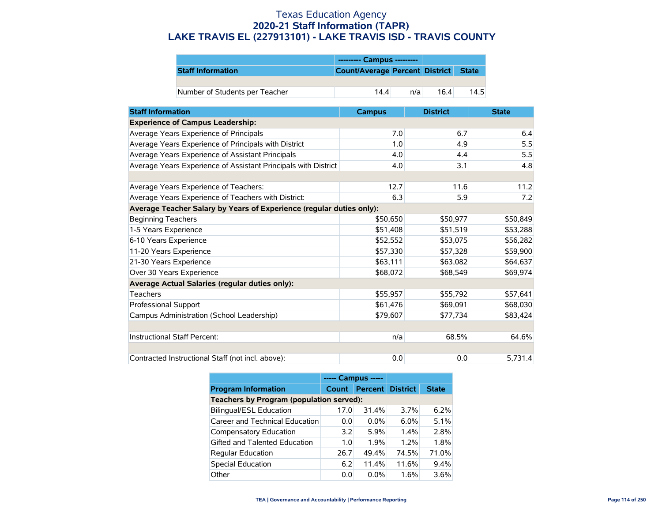|                                |                                      | --------- Campus --------- |     |      |
|--------------------------------|--------------------------------------|----------------------------|-----|------|
| <b>Staff Information</b>       | Count/Average Percent District State |                            |     |      |
|                                |                                      |                            |     |      |
| Number of Students per Teacher | 14.4                                 | n/a                        | 164 | 14.5 |

| <b>Staff Information</b>                                             | <b>Campus</b> | <b>District</b> | <b>State</b> |
|----------------------------------------------------------------------|---------------|-----------------|--------------|
| <b>Experience of Campus Leadership:</b>                              |               |                 |              |
| Average Years Experience of Principals                               | 7.0           | 6.7             | 6.4          |
| Average Years Experience of Principals with District                 | 1.0           | 4.9             | 5.5          |
| Average Years Experience of Assistant Principals                     | 4.0           | 4.4             | 5.5          |
| Average Years Experience of Assistant Principals with District       | 4.0           | 3.1             | 4.8          |
|                                                                      |               |                 |              |
| Average Years Experience of Teachers:                                | 12.7          | 11.6            | 11.2         |
| Average Years Experience of Teachers with District:                  | 6.3           | 5.9             | 7.2          |
| Average Teacher Salary by Years of Experience (regular duties only): |               |                 |              |
| <b>Beginning Teachers</b>                                            | \$50,650      | \$50,977        | \$50,849     |
| 1-5 Years Experience                                                 | \$51,408      | \$51,519        | \$53,288     |
| 6-10 Years Experience                                                | \$52,552      | \$53,075        | \$56,282     |
| 11-20 Years Experience                                               | \$57,330      | \$57,328        | \$59,900     |
| 21-30 Years Experience                                               | \$63,111      | \$63,082        | \$64,637     |
| Over 30 Years Experience                                             | \$68,072      | \$68,549        | \$69,974     |
| Average Actual Salaries (regular duties only):                       |               |                 |              |
| <b>Teachers</b>                                                      | \$55,957      | \$55,792        | \$57,641     |
| Professional Support                                                 | \$61,476      | \$69,091        | \$68,030     |
| Campus Administration (School Leadership)                            | \$79,607      | \$77,734        | \$83,424     |
|                                                                      |               |                 |              |
| Instructional Staff Percent:                                         | n/a           | 68.5%           | 64.6%        |
|                                                                      |               |                 |              |
| Contracted Instructional Staff (not incl. above):                    | 0.0           | 0.0             | 5,731.4      |

|                                          | ----- Campus ----- |                         |         |              |  |  |
|------------------------------------------|--------------------|-------------------------|---------|--------------|--|--|
| <b>Program Information</b>               | <b>Count</b>       | <b>Percent District</b> |         | <b>State</b> |  |  |
| Teachers by Program (population served): |                    |                         |         |              |  |  |
| <b>Bilingual/ESL Education</b>           | 17.0               | 31.4%                   | $3.7\%$ | 6.2%         |  |  |
| Career and Technical Education           | 0.0                | $0.0\%$                 | 6.0%    | 5.1%         |  |  |
| Compensatory Education                   | 3.2                | 5.9%                    | 1.4%    | 2.8%         |  |  |
| Gifted and Talented Education            | 1.0                | 1.9%                    | 1.2%    | 1.8%         |  |  |
| <b>Regular Education</b>                 | 26.7               | 49.4%                   | 74.5%   | 71.0%        |  |  |
| <b>Special Education</b>                 | 6.2                | 11.4%                   | 11.6%   | 9.4%         |  |  |
| Other                                    | 0.0                | $0.0\%$                 | 1.6%    | 3.6%         |  |  |